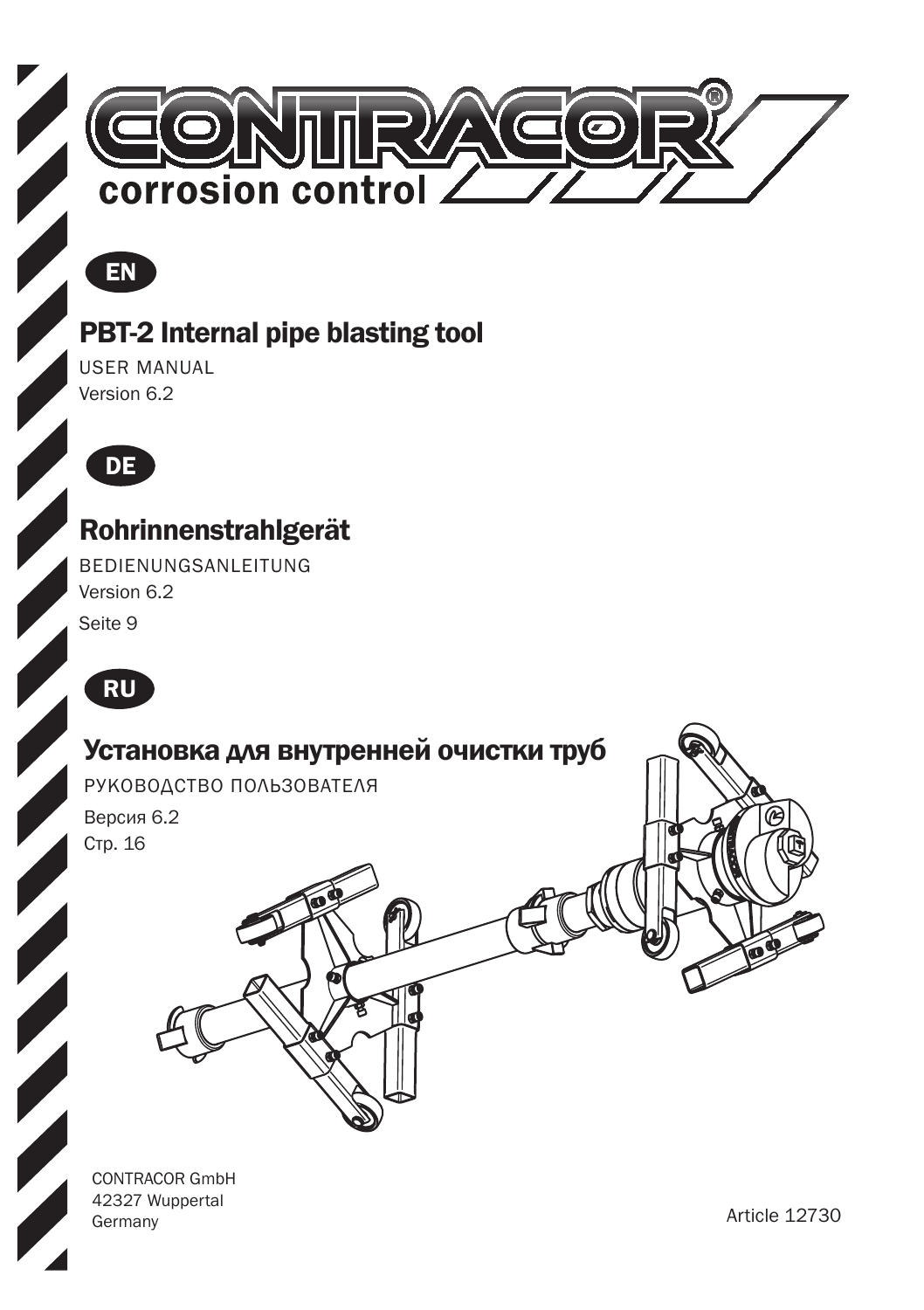

### $F$ EN

#### PBT-2 Internal pipe blasting tool

USER MANUAL Version 6.2



#### Rohrinnenstrahlgerät

BEDIENUNGSANLEITUNG Version 6.2

Seite 9





CONTRACOR GmbH 42327 Wuppertal Germany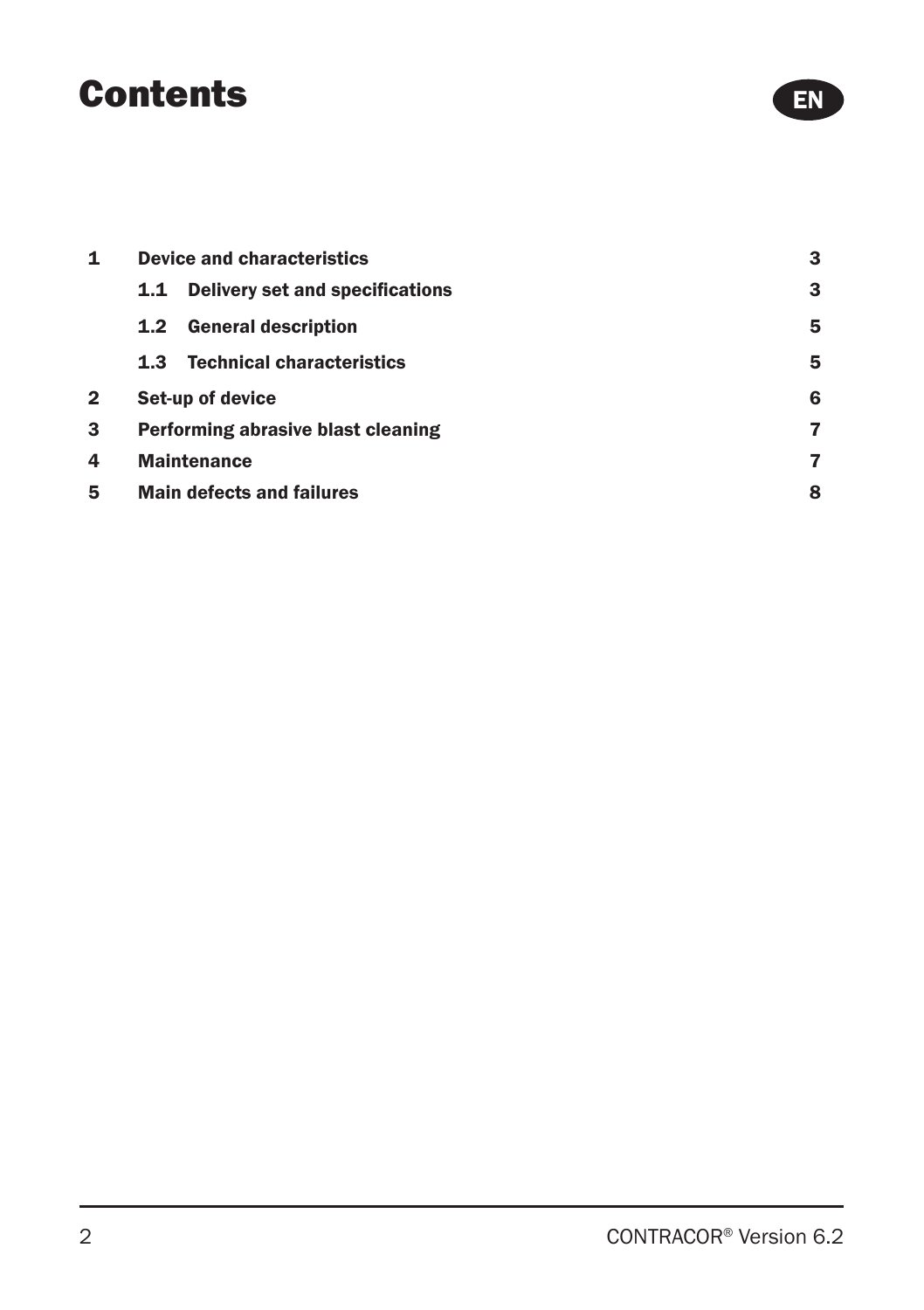### **Contents**

| 1 | <b>Device and characteristics</b>                    |   |  |
|---|------------------------------------------------------|---|--|
|   | <b>Delivery set and specifications</b><br>1.1        | 3 |  |
|   | <b>General description</b><br>1.2 <sub>2</sub>       | 5 |  |
|   | <b>Technical characteristics</b><br>1.3 <sub>1</sub> | 5 |  |
| 2 | Set-up of device                                     | 6 |  |
| 3 | Performing abrasive blast cleaning                   | 7 |  |
| 4 | <b>Maintenance</b>                                   | 7 |  |
| 5 | <b>Main defects and failures</b>                     | 8 |  |

EN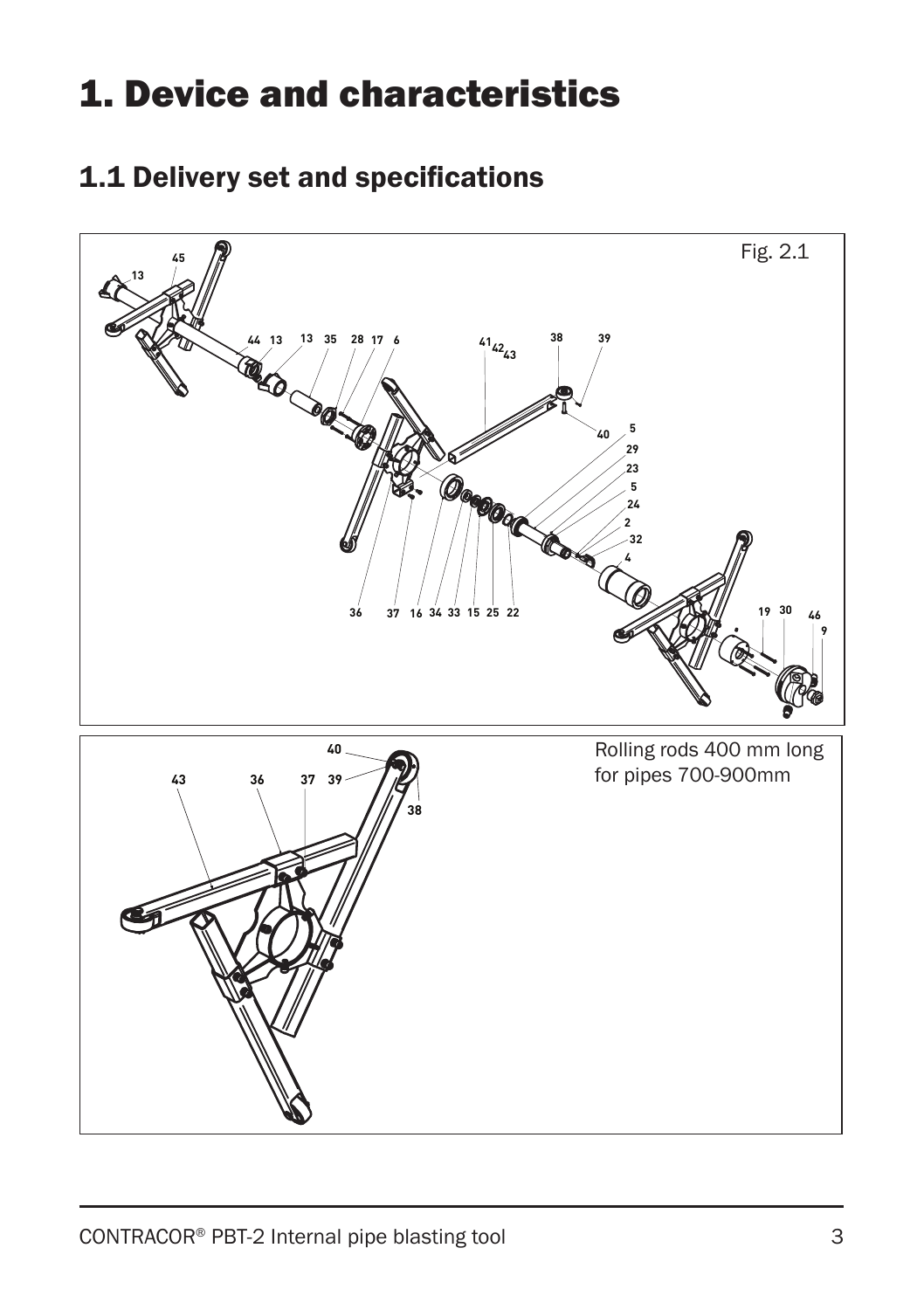# 1. Device and characteristics

#### 1.1 Delivery set and specifications

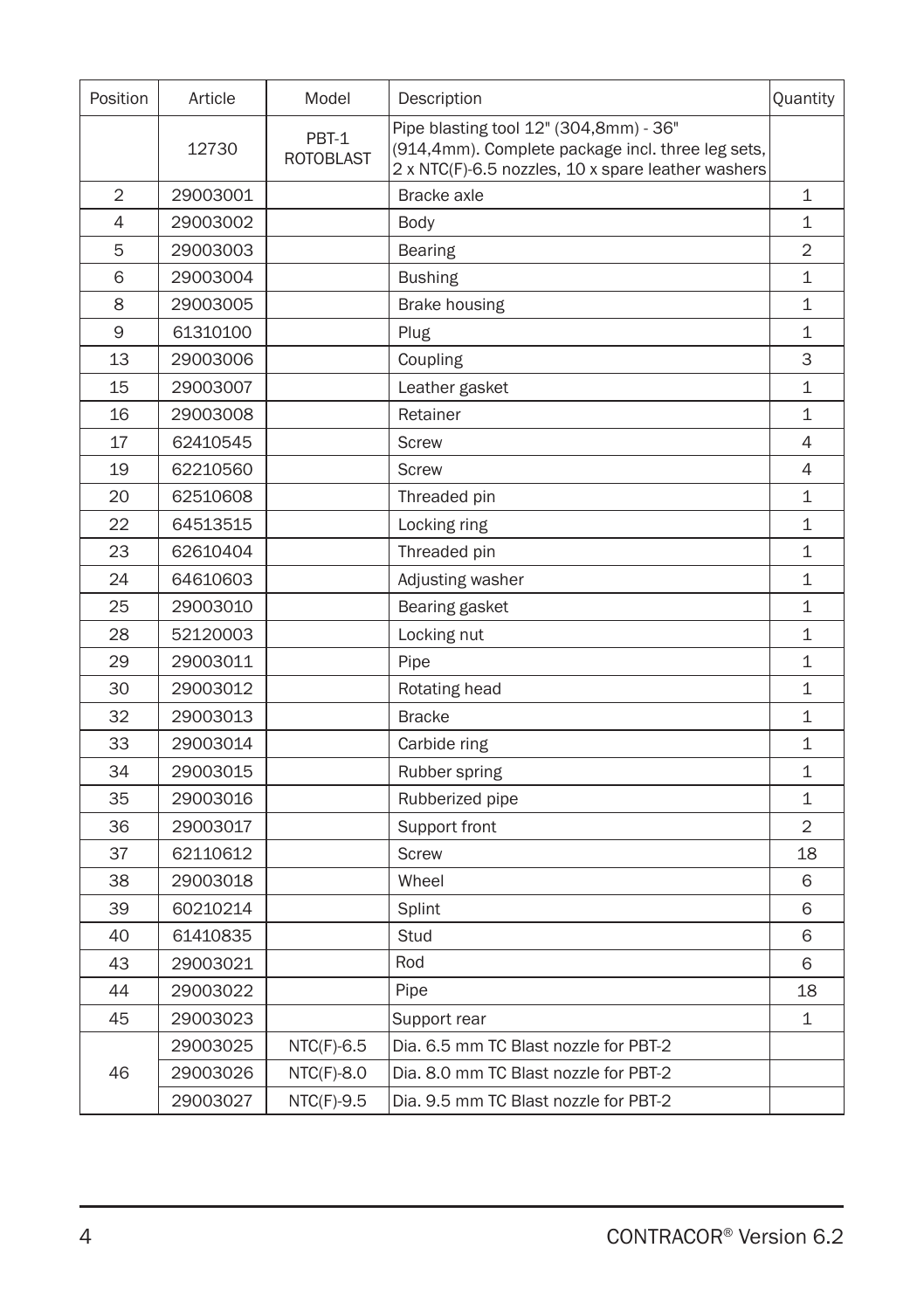| Position | Article  | Model                     | Description                                                                                                                                       | Quantity       |
|----------|----------|---------------------------|---------------------------------------------------------------------------------------------------------------------------------------------------|----------------|
|          | 12730    | PBT-1<br><b>ROTOBLAST</b> | Pipe blasting tool 12" (304,8mm) - 36"<br>(914,4mm). Complete package incl. three leg sets,<br>2 x NTC(F)-6.5 nozzles, 10 x spare leather washers |                |
| 2        | 29003001 |                           | Bracke axle                                                                                                                                       | 1              |
| 4        | 29003002 |                           | Body                                                                                                                                              | $\mathbf 1$    |
| 5        | 29003003 |                           | <b>Bearing</b>                                                                                                                                    | $\overline{2}$ |
| 6        | 29003004 |                           | <b>Bushing</b>                                                                                                                                    | $\mathbf 1$    |
| 8        | 29003005 |                           | Brake housing                                                                                                                                     | 1              |
| 9        | 61310100 |                           | Plug                                                                                                                                              | $\mathbf 1$    |
| 13       | 29003006 |                           | Coupling                                                                                                                                          | 3              |
| 15       | 29003007 |                           | Leather gasket                                                                                                                                    | $\mathbf{1}$   |
| 16       | 29003008 |                           | Retainer                                                                                                                                          | $\mathbf{1}$   |
| 17       | 62410545 |                           | <b>Screw</b>                                                                                                                                      | 4              |
| 19       | 62210560 |                           | Screw                                                                                                                                             | 4              |
| 20       | 62510608 |                           | Threaded pin                                                                                                                                      | $\mathbf 1$    |
| 22       | 64513515 |                           | Locking ring                                                                                                                                      | $\mathbf{1}$   |
| 23       | 62610404 |                           | Threaded pin                                                                                                                                      | $\mathbf 1$    |
| 24       | 64610603 |                           | Adjusting washer                                                                                                                                  | 1              |
| 25       | 29003010 |                           | Bearing gasket                                                                                                                                    | $\mathbf{1}$   |
| 28       | 52120003 |                           | Locking nut                                                                                                                                       | $\mathbf 1$    |
| 29       | 29003011 |                           | Pipe                                                                                                                                              | $\mathbf 1$    |
| 30       | 29003012 |                           | Rotating head                                                                                                                                     | $\mathbf{1}$   |
| 32       | 29003013 |                           | <b>Bracke</b>                                                                                                                                     | $\mathbf 1$    |
| 33       | 29003014 |                           | Carbide ring                                                                                                                                      | $\mathbf{1}$   |
| 34       | 29003015 |                           | Rubber spring                                                                                                                                     | $\mathbf{1}$   |
| 35       | 29003016 |                           | Rubberized pipe                                                                                                                                   | $\mathbf 1$    |
| 36       | 29003017 |                           | Support front                                                                                                                                     | $\overline{2}$ |
| 37       | 62110612 |                           | <b>Screw</b>                                                                                                                                      | 18             |
| 38       | 29003018 |                           | Wheel                                                                                                                                             | 6              |
| 39       | 60210214 |                           | Splint                                                                                                                                            | 6              |
| 40       | 61410835 |                           | Stud                                                                                                                                              | 6              |
| 43       | 29003021 |                           | Rod                                                                                                                                               | 6              |
| 44       | 29003022 |                           | Pipe                                                                                                                                              | 18             |
| 45       | 29003023 |                           | Support rear                                                                                                                                      | $\mathbf 1$    |
|          | 29003025 | $NTC(F)-6.5$              | Dia. 6.5 mm TC Blast nozzle for PBT-2                                                                                                             |                |
| 46       | 29003026 | $NTC(F)-8.0$              | Dia, 8.0 mm TC Blast nozzle for PBT-2                                                                                                             |                |
|          | 29003027 | NTC(F)-9.5                | Dia. 9.5 mm TC Blast nozzle for PBT-2                                                                                                             |                |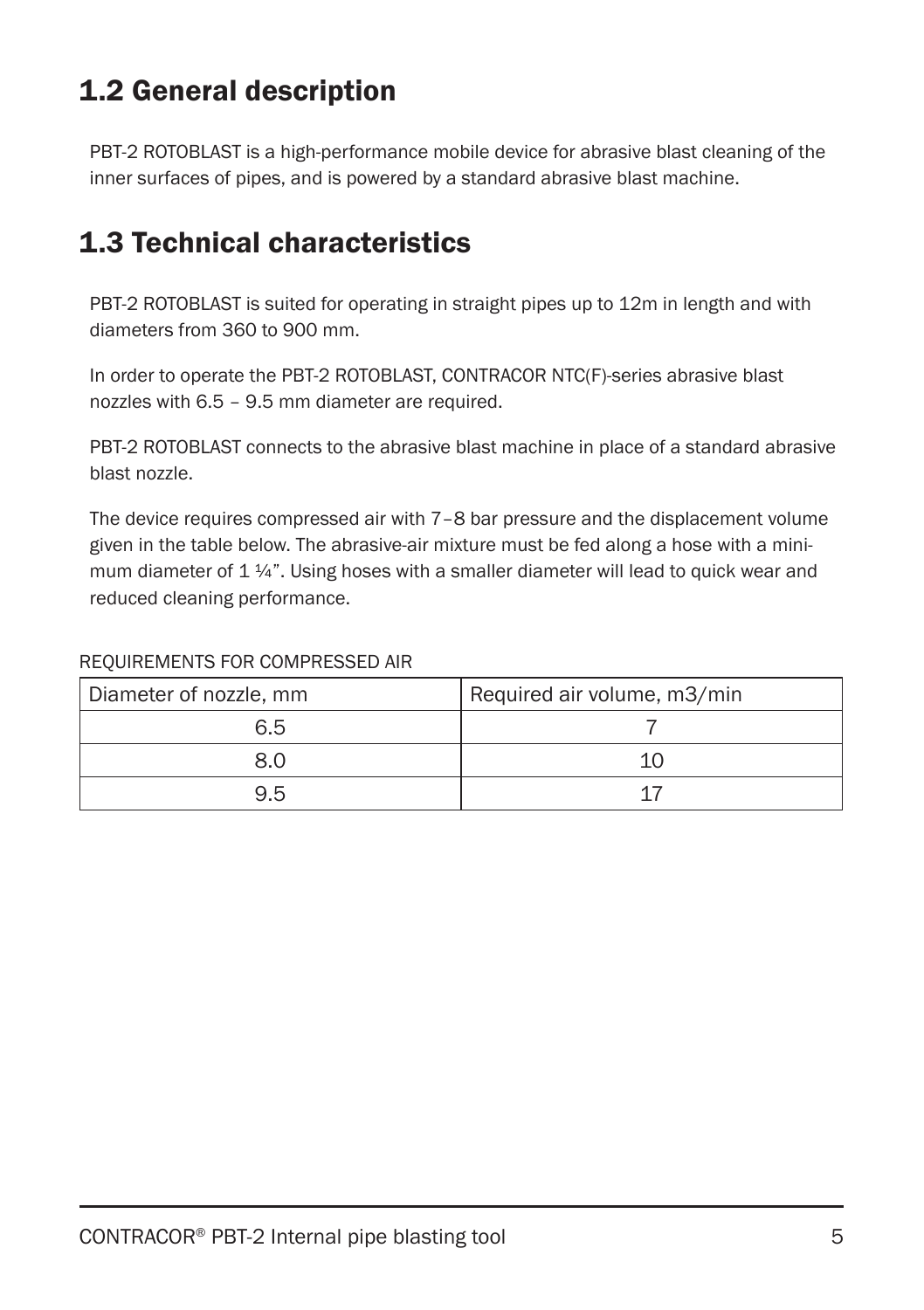### 1.2 General description

PBT-2 ROTOBLAST is a high-performance mobile device for abrasive blast cleaning of the inner surfaces of pipes, and is powered by a standard abrasive blast machine.

#### 1.3 Technical characteristics

PBT-2 ROTOBLAST is suited for operating in straight pipes up to 12m in length and with diameters from 360 to 900 mm.

In order to operate the PBT-2 ROTOBLAST, CONTRACOR NTC(F)-series abrasive blast nozzles with 6.5 – 9.5 mm diameter are required.

PBT-2 ROTOBLAST connects to the abrasive blast machine in place of a standard abrasive blast nozzle.

The device requires compressed air with 7–8 bar pressure and the displacement volume given in the table below. The abrasive-air mixture must be fed along a hose with a minimum diameter of  $1\frac{1}{4}$ . Using hoses with a smaller diameter will lead to quick wear and reduced cleaning performance.

#### REQUIREMENTS FOR COMPRESSED AIR

| Diameter of nozzle, mm | Required air volume, m3/min |
|------------------------|-----------------------------|
| 6.5                    |                             |
| 8.0                    |                             |
| 9.5                    |                             |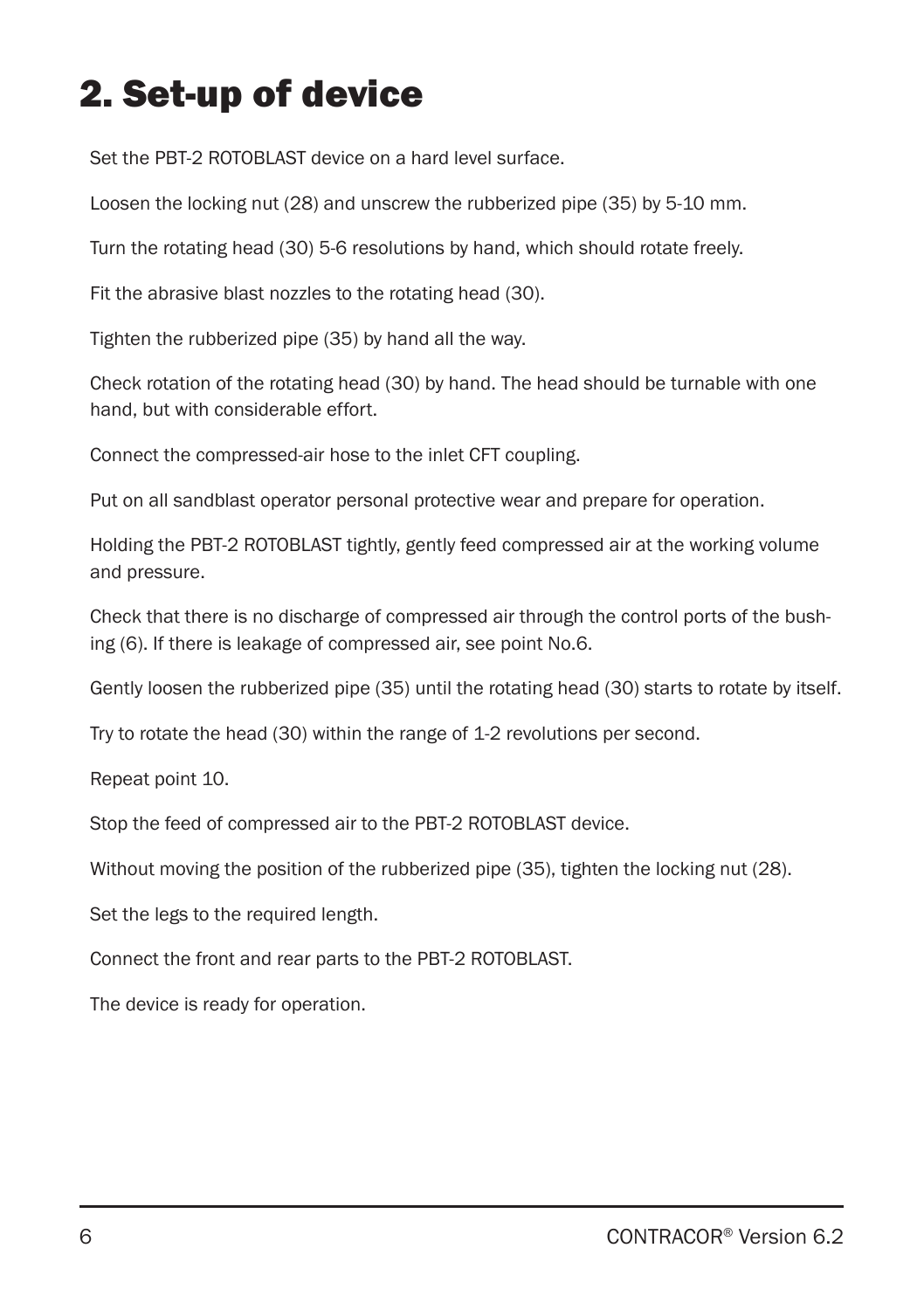# 2. Set-up of device

Set the PBT-2 ROTOBLAST device on a hard level surface.

Loosen the locking nut (28) and unscrew the rubberized pipe (35) by 5-10 mm.

Turn the rotating head (30) 5-6 resolutions by hand, which should rotate freely.

Fit the abrasive blast nozzles to the rotating head (30).

Tighten the rubberized pipe (35) by hand all the way.

Check rotation of the rotating head (30) by hand. The head should be turnable with one hand, but with considerable effort.

Connect the compressed-air hose to the inlet CFT coupling.

Put on all sandblast operator personal protective wear and prepare for operation.

Holding the PBT-2 ROTOBLAST tightly, gently feed compressed air at the working volume and pressure.

Check that there is no discharge of compressed air through the control ports of the bushing (6). If there is leakage of compressed air, see point No.6.

Gently loosen the rubberized pipe (35) until the rotating head (30) starts to rotate by itself.

Try to rotate the head (30) within the range of 1-2 revolutions per second.

Repeat point 10.

Stop the feed of compressed air to the PBT-2 ROTOBLAST device.

Without moving the position of the rubberized pipe (35), tighten the locking nut (28).

Set the legs to the required length.

Connect the front and rear parts to the PBT-2 ROTOBLAST.

The device is ready for operation.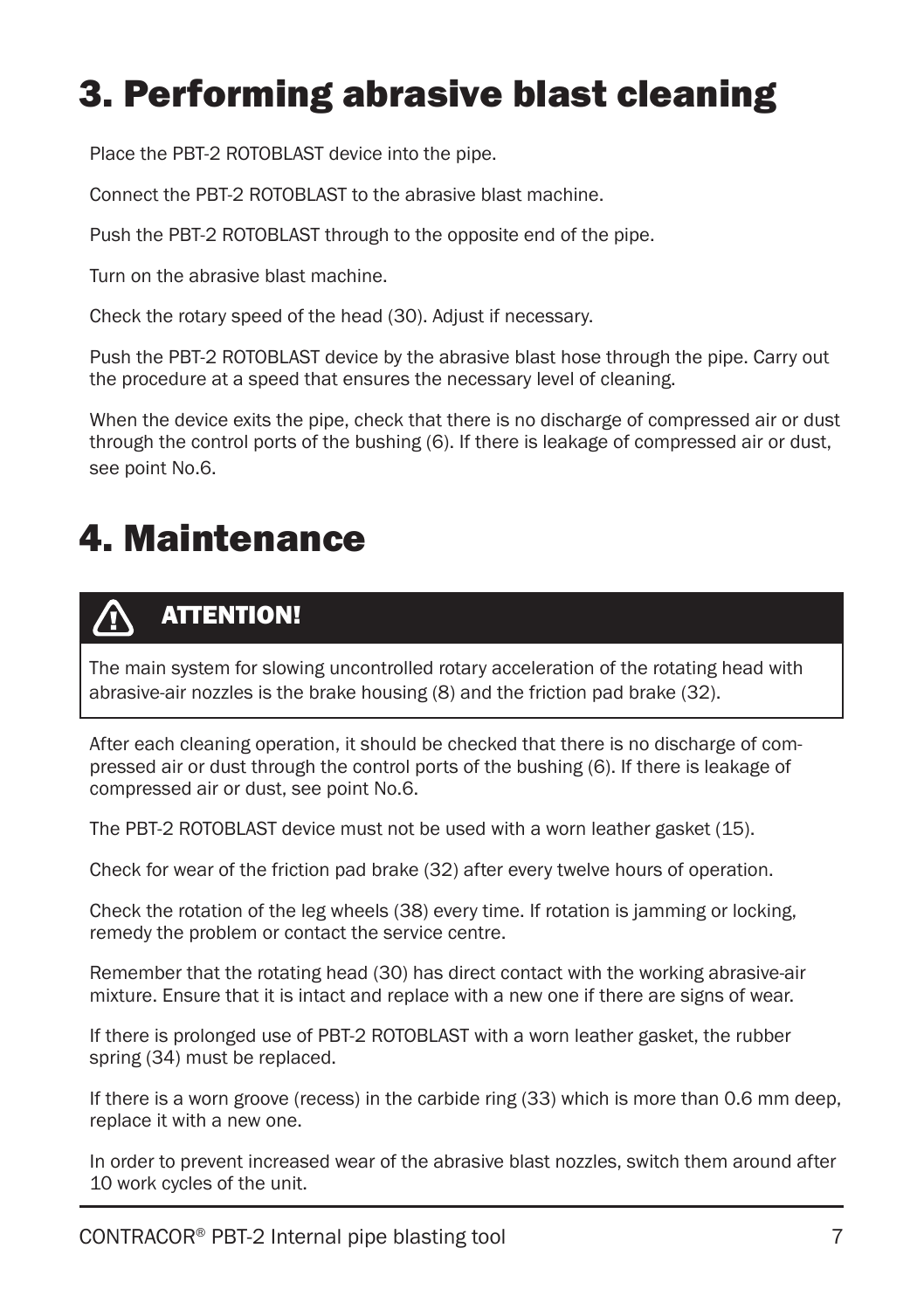# 3. Performing abrasive blast cleaning

Place the PBT-2 ROTOBLAST device into the pipe.

Connect the PBT-2 ROTOBLAST to the abrasive blast machine.

Push the PBT-2 ROTOBLAST through to the opposite end of the pipe.

Turn on the abrasive blast machine.

Check the rotary speed of the head (30). Adjust if necessary.

Push the PBT-2 ROTOBLAST device by the abrasive blast hose through the pipe. Carry out the procedure at a speed that ensures the necessary level of cleaning.

When the device exits the pipe, check that there is no discharge of compressed air or dust through the control ports of the bushing (6). If there is leakage of compressed air or dust, see point No.6.

### 4. Maintenance

#### ATTENTION! 70

The main system for slowing uncontrolled rotary acceleration of the rotating head with abrasive-air nozzles is the brake housing (8) and the friction pad brake (32).

After each cleaning operation, it should be checked that there is no discharge of compressed air or dust through the control ports of the bushing (6). If there is leakage of compressed air or dust, see point No.6.

The PBT-2 ROTOBLAST device must not be used with a worn leather gasket (15).

Check for wear of the friction pad brake (32) after every twelve hours of operation.

Check the rotation of the leg wheels (38) every time. If rotation is jamming or locking, remedy the problem or contact the service centre.

Remember that the rotating head (30) has direct contact with the working abrasive-air mixture. Ensure that it is intact and replace with a new one if there are signs of wear.

If there is prolonged use of PBT-2 ROTOBLAST with a worn leather gasket, the rubber spring (34) must be replaced.

If there is a worn groove (recess) in the carbide ring (33) which is more than 0.6 mm deep, replace it with a new one.

In order to prevent increased wear of the abrasive blast nozzles, switch them around after 10 work cycles of the unit.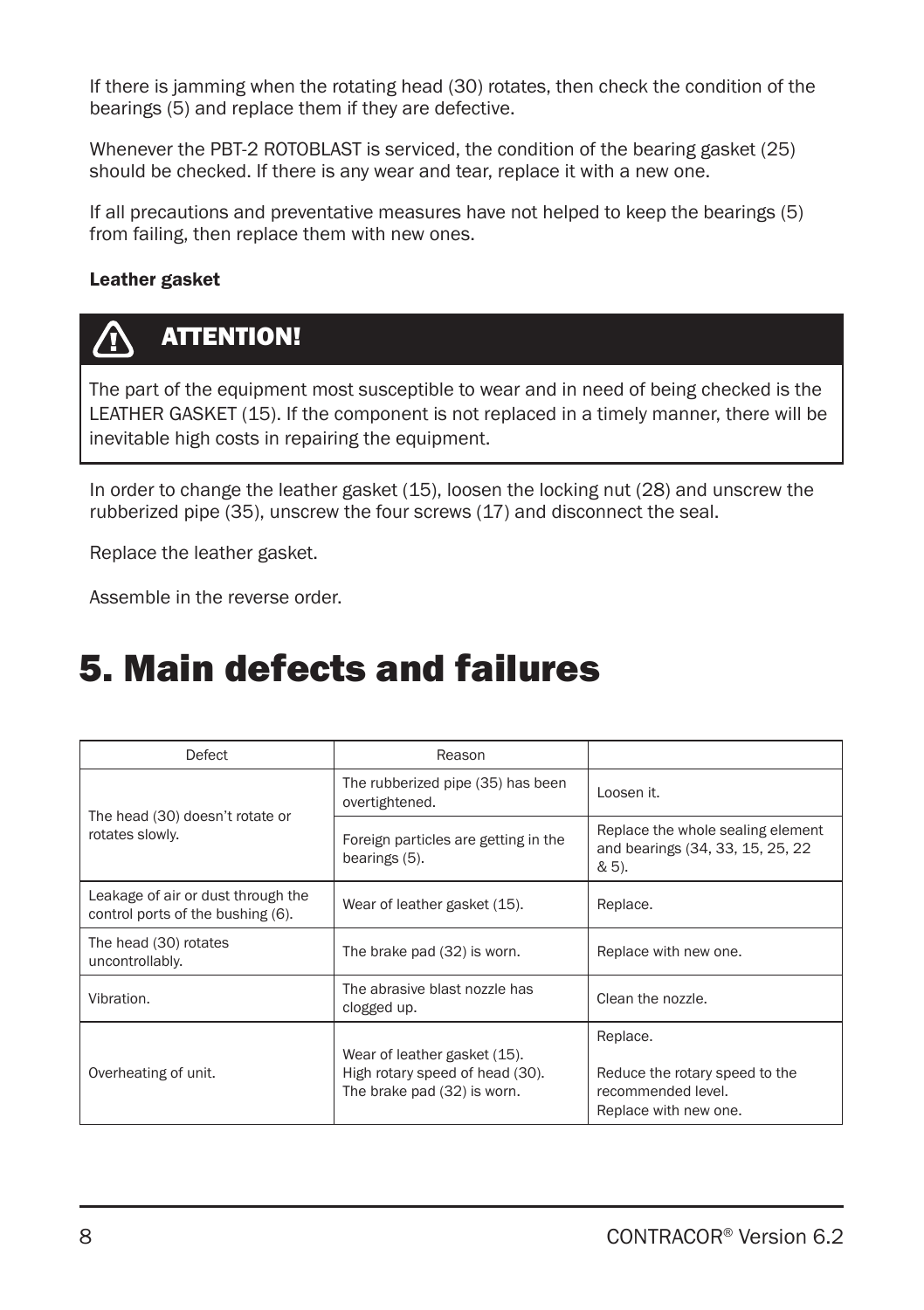If there is jamming when the rotating head (30) rotates, then check the condition of the bearings (5) and replace them if they are defective.

Whenever the PBT-2 ROTOBLAST is serviced, the condition of the bearing gasket (25) should be checked. If there is any wear and tear, replace it with a new one.

If all precautions and preventative measures have not helped to keep the bearings (5) from failing, then replace them with new ones.

#### Leather gasket



The part of the equipment most susceptible to wear and in need of being checked is the LEATHER GASKET (15). If the component is not replaced in a timely manner, there will be inevitable high costs in repairing the equipment.

In order to change the leather gasket (15), loosen the locking nut (28) and unscrew the rubberized pipe (35), unscrew the four screws (17) and disconnect the seal.

Replace the leather gasket.

Assemble in the reverse order.

### 5. Main defects and failures

| Defect                                                                  | Reason                                                                                         |                                                                                           |
|-------------------------------------------------------------------------|------------------------------------------------------------------------------------------------|-------------------------------------------------------------------------------------------|
| The head (30) doesn't rotate or                                         | The rubberized pipe (35) has been<br>overtightened.                                            | Loosen it.                                                                                |
| rotates slowly.                                                         | Foreign particles are getting in the<br>bearings (5).                                          | Replace the whole sealing element<br>and bearings (34, 33, 15, 25, 22<br>& 5).            |
| Leakage of air or dust through the<br>control ports of the bushing (6). | Wear of leather gasket (15).                                                                   | Replace.                                                                                  |
| The head (30) rotates<br>uncontrollably.                                | The brake pad (32) is worn.                                                                    | Replace with new one.                                                                     |
| Vibration.                                                              | The abrasive blast nozzle has<br>clogged up.                                                   | Clean the nozzle.                                                                         |
| Overheating of unit.                                                    | Wear of leather gasket (15).<br>High rotary speed of head (30).<br>The brake pad (32) is worn. | Replace.<br>Reduce the rotary speed to the<br>recommended level.<br>Replace with new one. |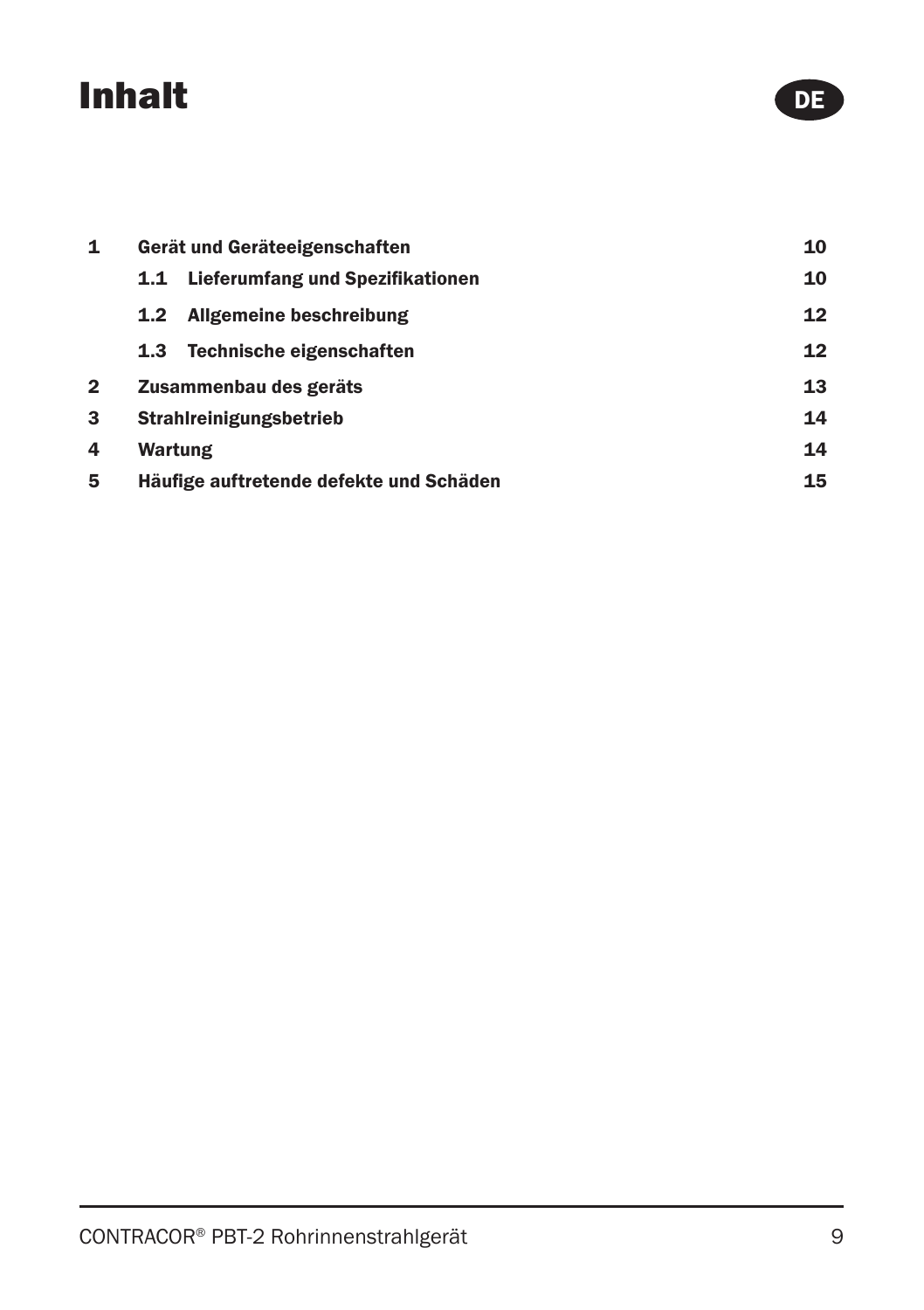# Inhalt

| 1 | Gerät und Geräteeigenschaften           | 10 |
|---|-----------------------------------------|----|
|   | Lieferumfang und Spezifikationen<br>1.1 | 10 |
|   | <b>Allgemeine beschreibung</b><br>1.2   | 12 |
|   | Technische eigenschaften<br>1.3         | 12 |
| 2 | Zusammenbau des geräts                  | 13 |
| 3 | Strahlreinigungsbetrieb                 | 14 |
| 4 | Wartung                                 | 14 |
| 5 | Häufige auftretende defekte und Schäden | 15 |

DE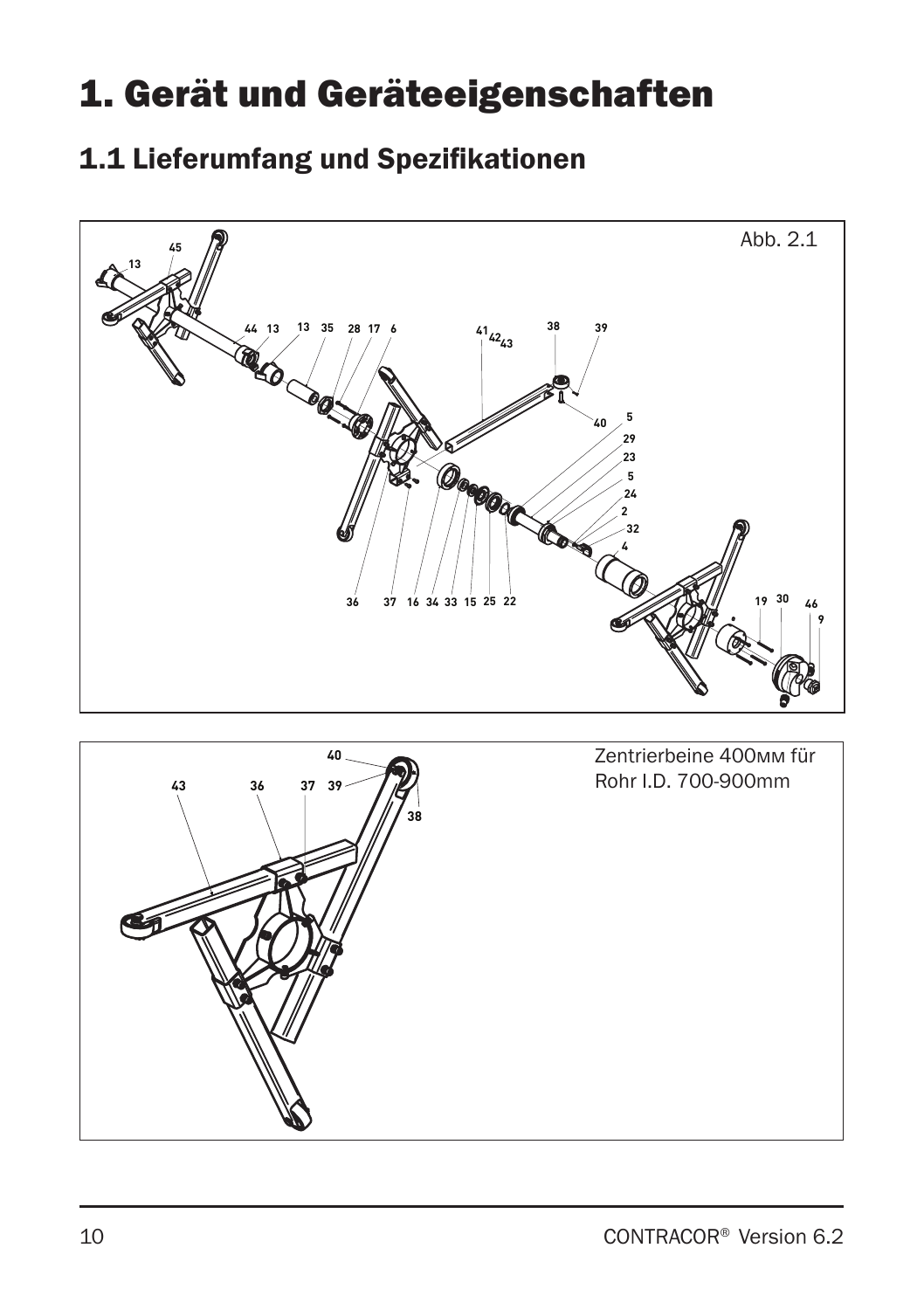# 1. Gerät und Geräteeigenschaften

### 1.1 Lieferumfang und Spezifikationen



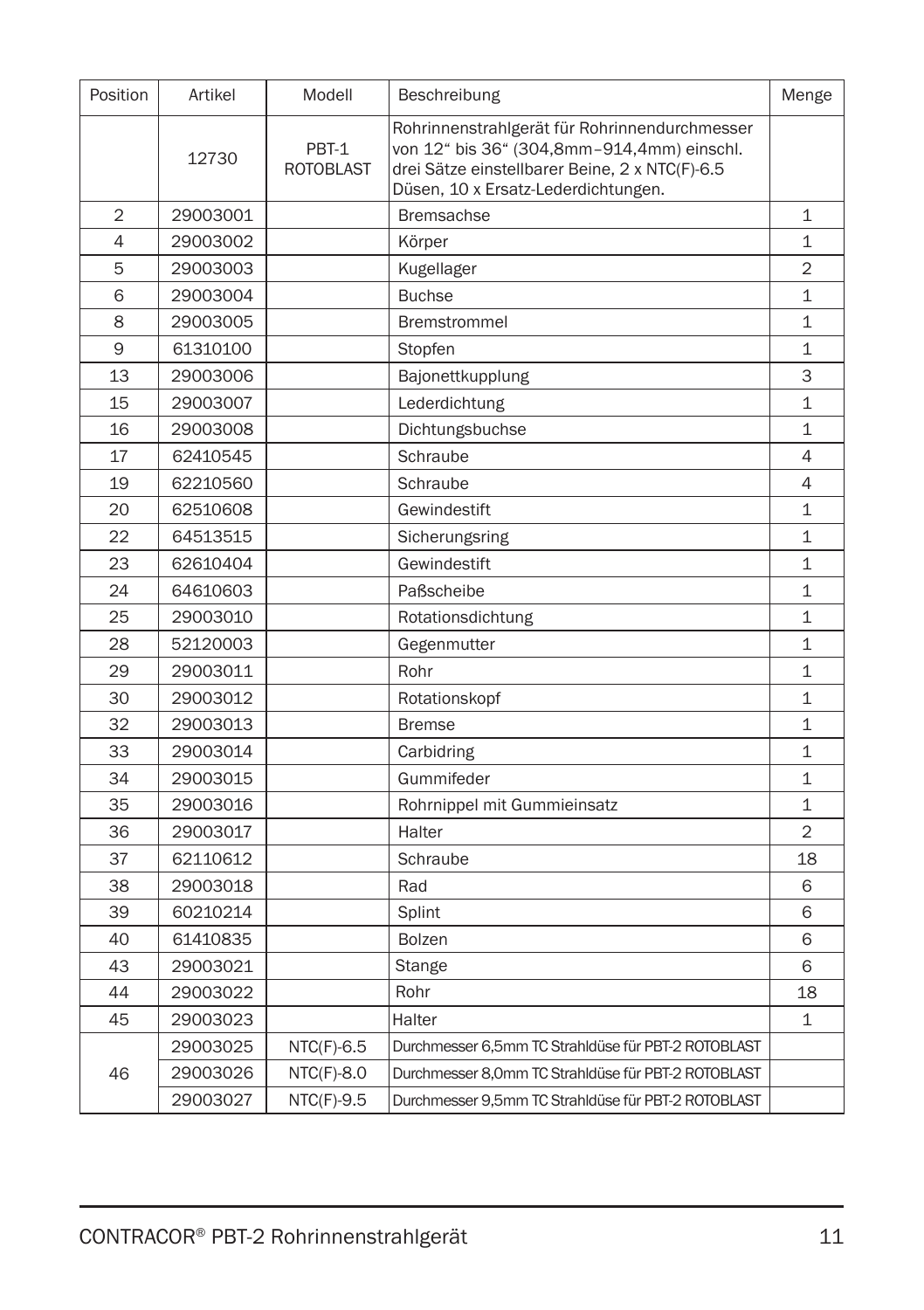| Position       | Artikel  | Modell                    | Beschreibung                                                                                                                                                                         | Menge          |
|----------------|----------|---------------------------|--------------------------------------------------------------------------------------------------------------------------------------------------------------------------------------|----------------|
|                | 12730    | PBT-1<br><b>ROTOBLAST</b> | Rohrinnenstrahlgerät für Rohrinnendurchmesser<br>von 12" bis 36" (304,8mm-914,4mm) einschl.<br>drei Sätze einstellbarer Beine, 2 x NTC(F)-6.5<br>Düsen, 10 x Ersatz-Lederdichtungen. |                |
| $\overline{2}$ | 29003001 |                           | <b>Bremsachse</b>                                                                                                                                                                    | $\mathbf 1$    |
| $\overline{4}$ | 29003002 |                           | Körper                                                                                                                                                                               | $\mathbf{1}$   |
| 5              | 29003003 |                           | Kugellager                                                                                                                                                                           | $\overline{2}$ |
| 6              | 29003004 |                           | <b>Buchse</b>                                                                                                                                                                        | $\mathbf 1$    |
| 8              | 29003005 |                           | <b>Bremstrommel</b>                                                                                                                                                                  | $\mathbf{1}$   |
| 9              | 61310100 |                           | Stopfen                                                                                                                                                                              | 1              |
| 13             | 29003006 |                           | Bajonettkupplung                                                                                                                                                                     | 3              |
| 15             | 29003007 |                           | Lederdichtung                                                                                                                                                                        | $\mathbf 1$    |
| 16             | 29003008 |                           | Dichtungsbuchse                                                                                                                                                                      | $\mathbf 1$    |
| 17             | 62410545 |                           | Schraube                                                                                                                                                                             | 4              |
| 19             | 62210560 |                           | Schraube                                                                                                                                                                             | 4              |
| 20             | 62510608 |                           | Gewindestift                                                                                                                                                                         | $\mathbf{1}$   |
| 22             | 64513515 |                           | Sicherungsring                                                                                                                                                                       | $\mathbf{1}$   |
| 23             | 62610404 |                           | Gewindestift                                                                                                                                                                         | 1              |
| 24             | 64610603 |                           | Paßscheibe                                                                                                                                                                           | $\mathbf{1}$   |
| 25             | 29003010 |                           | Rotationsdichtung                                                                                                                                                                    | $\mathbf 1$    |
| 28             | 52120003 |                           | Gegenmutter                                                                                                                                                                          | $\mathbf{1}$   |
| 29             | 29003011 |                           | Rohr                                                                                                                                                                                 | $\mathbf{1}$   |
| 30             | 29003012 |                           | Rotationskopf                                                                                                                                                                        | $\mathbf{1}$   |
| 32             | 29003013 |                           | <b>Bremse</b>                                                                                                                                                                        | $\mathbf{1}$   |
| 33             | 29003014 |                           | Carbidring                                                                                                                                                                           | 1              |
| 34             | 29003015 |                           | Gummifeder                                                                                                                                                                           | $\mathbf 1$    |
| 35             | 29003016 |                           | Rohrnippel mit Gummieinsatz                                                                                                                                                          | $\mathbf 1$    |
| 36             | 29003017 |                           | Halter                                                                                                                                                                               | $\overline{2}$ |
| 37             | 62110612 |                           | Schraube                                                                                                                                                                             | 18             |
| 38             | 29003018 |                           | Rad                                                                                                                                                                                  | 6              |
| 39             | 60210214 |                           | Splint                                                                                                                                                                               | 6              |
| 40             | 61410835 |                           | <b>Bolzen</b>                                                                                                                                                                        | 6              |
| 43             | 29003021 |                           | Stange                                                                                                                                                                               | 6              |
| 44             | 29003022 |                           | Rohr                                                                                                                                                                                 | 18             |
| 45             | 29003023 |                           | Halter                                                                                                                                                                               | $\mathbf{1}$   |
|                | 29003025 | $NTC(F)-6.5$              | Durchmesser 6,5mm TC Strahldüse für PBT-2 ROTOBLAST                                                                                                                                  |                |
| 46             | 29003026 | $NTC(F)-8.0$              | Durchmesser 8.0mm TC Strahldüse für PBT-2 ROTOBLAST                                                                                                                                  |                |
|                | 29003027 | $NTC(F)-9.5$              | Durchmesser 9,5mm TC Strahldüse für PBT-2 ROTOBLAST                                                                                                                                  |                |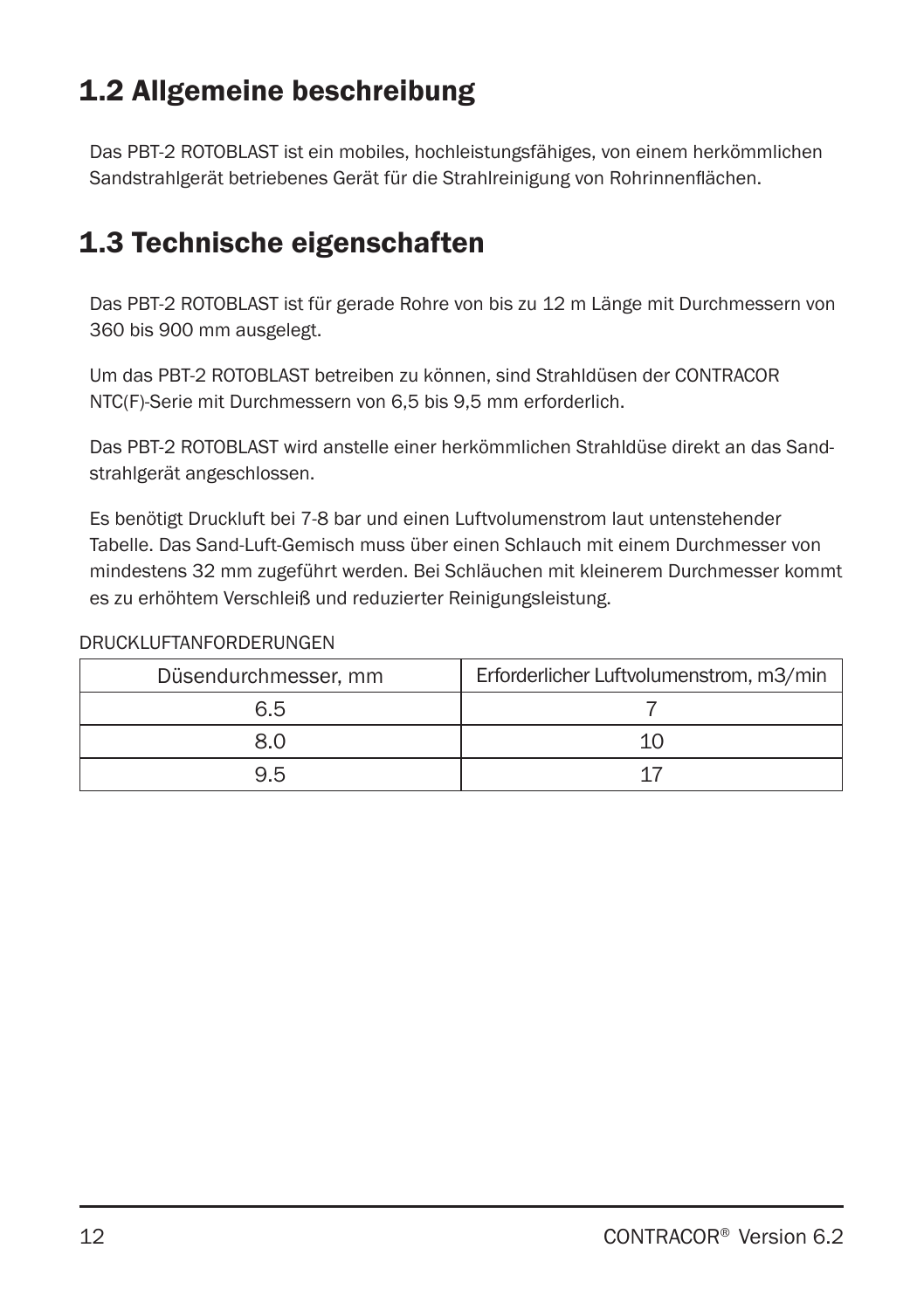### 1.2 Allgemeine beschreibung

Das PBT-2 ROTOBLAST ist ein mobiles, hochleistungsfähiges, von einem herkömmlichen Sandstrahlgerät betriebenes Gerät für die Strahlreinigung von Rohrinnenflächen.

### 1.3 Technische eigenschaften

Das PBT-2 ROTOBLAST ist für gerade Rohre von bis zu 12 m Länge mit Durchmessern von 360 bis 900 mm ausgelegt.

Um das PBT-2 ROTOBLAST betreiben zu können, sind Strahldüsen der CONTRACOR NTC(F)-Serie mit Durchmessern von 6,5 bis 9,5 mm erforderlich.

Das PBT-2 ROTOBLAST wird anstelle einer herkömmlichen Strahldüse direkt an das Sandstrahlgerät angeschlossen.

Es benötigt Druckluft bei 7-8 bar und einen Luftvolumenstrom laut untenstehender Tabelle. Das Sand-Luft-Gemisch muss über einen Schlauch mit einem Durchmesser von mindestens 32 mm zugeführt werden. Bei Schläuchen mit kleinerem Durchmesser kommt es zu erhöhtem Verschleiß und reduzierter Reinigungsleistung.

#### DRUCKLUFTANFORDERUNGEN

| Düsendurchmesser, mm | Erforderlicher Luftvolumenstrom, m3/min |
|----------------------|-----------------------------------------|
| 6.5                  |                                         |
| 8.0                  |                                         |
| 9.5                  |                                         |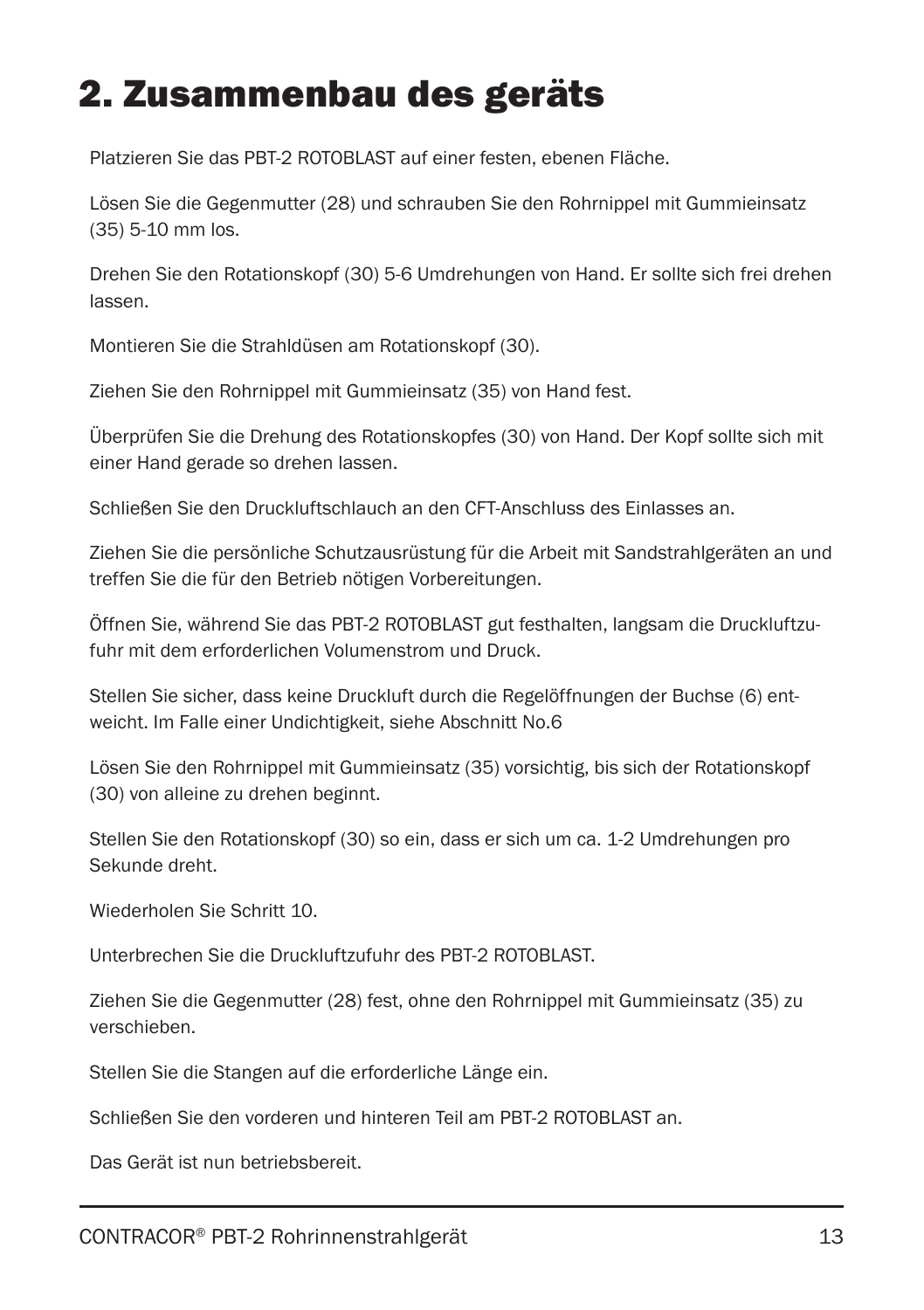### 2. Zusammenbau des geräts

Platzieren Sie das PBT-2 ROTOBLAST auf einer festen, ebenen Fläche.

Lösen Sie die Gegenmutter (28) und schrauben Sie den Rohrnippel mit Gummieinsatz (35) 5-10 mm los.

Drehen Sie den Rotationskopf (30) 5-6 Umdrehungen von Hand. Er sollte sich frei drehen lassen.

Montieren Sie die Strahldüsen am Rotationskopf (30).

Ziehen Sie den Rohrnippel mit Gummieinsatz (35) von Hand fest.

Überprüfen Sie die Drehung des Rotationskopfes (30) von Hand. Der Kopf sollte sich mit einer Hand gerade so drehen lassen.

Schließen Sie den Druckluftschlauch an den CFT-Anschluss des Einlasses an.

Ziehen Sie die persönliche Schutzausrüstung für die Arbeit mit Sandstrahlgeräten an und treffen Sie die für den Betrieb nötigen Vorbereitungen.

Öffnen Sie, während Sie das PBT-2 ROTOBLAST gut festhalten, langsam die Druckluftzufuhr mit dem erforderlichen Volumenstrom und Druck.

Stellen Sie sicher, dass keine Druckluft durch die Regelöffnungen der Buchse (6) entweicht. Im Falle einer Undichtigkeit, siehe Abschnitt No.6

Lösen Sie den Rohrnippel mit Gummieinsatz (35) vorsichtig, bis sich der Rotationskopf (30) von alleine zu drehen beginnt.

Stellen Sie den Rotationskopf (30) so ein, dass er sich um ca. 1-2 Umdrehungen pro Sekunde dreht.

Wiederholen Sie Schritt 10.

Unterbrechen Sie die Druckluftzufuhr des PBT-2 ROTOBLAST.

Ziehen Sie die Gegenmutter (28) fest, ohne den Rohrnippel mit Gummieinsatz (35) zu verschieben.

Stellen Sie die Stangen auf die erforderliche Länge ein.

Schließen Sie den vorderen und hinteren Teil am PBT-2 ROTOBLAST an.

Das Gerät ist nun betriebsbereit.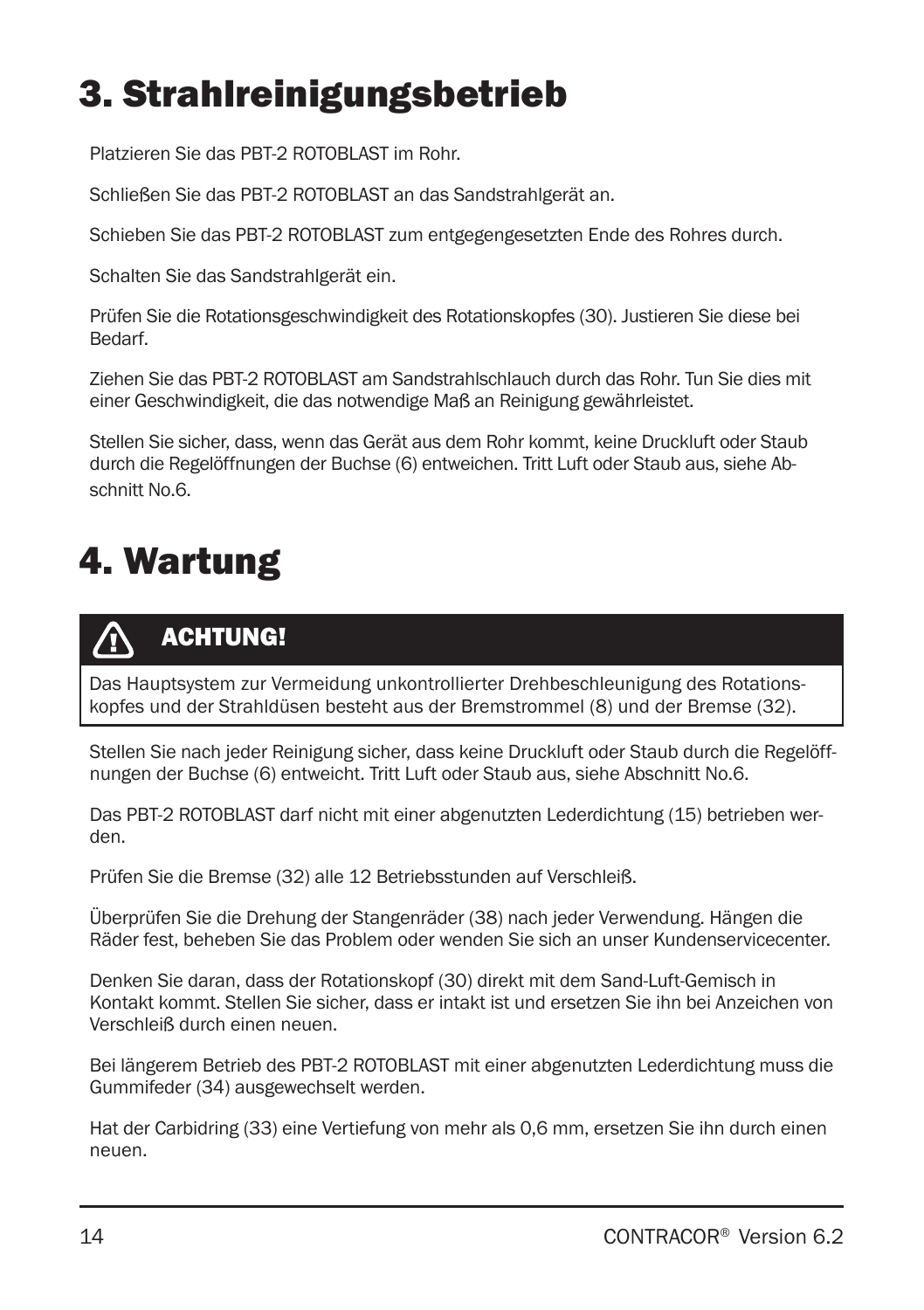# 3. Strahlreinigungsbetrieb

Platzieren Sie das PBT-2 ROTOBLAST im Rohr.

Schließen Sie das PBT-2 ROTOBLAST an das Sandstrahlgerät an.

Schieben Sie das PBT-2 ROTOBLAST zum entgegengesetzten Ende des Rohres durch.

Schalten Sie das Sandstrahlgerät ein.

Prüfen Sie die Rotationsgeschwindigkeit des Rotationskopfes (30). Justieren Sie diese bei Bedarf.

Ziehen Sie das PBT-2 ROTOBLAST am Sandstrahlschlauch durch das Rohr. Tun Sie dies mit einer Geschwindigkeit, die das notwendige Maß an Reinigung gewährleistet.

Stellen Sie sicher, dass, wenn das Gerät aus dem Rohr kommt, keine Druckluft oder Staub durch die Regelöffnungen der Buchse (6) entweichen. Tritt Luft oder Staub aus, siehe Abschnitt No.6.

### 4. Wartung



#### ACHTUNG!

Das Hauptsystem zur Vermeidung unkontrollierter Drehbeschleunigung des Rotationskopfes und der Strahldüsen besteht aus der Bremstrommel (8) und der Bremse (32).

Stellen Sie nach jeder Reinigung sicher, dass keine Druckluft oder Staub durch die Regelöffnungen der Buchse (6) entweicht. Tritt Luft oder Staub aus, siehe Abschnitt No.6.

Das PBT-2 ROTOBLAST darf nicht mit einer abgenutzten Lederdichtung (15) betrieben werden.

Prüfen Sie die Bremse (32) alle 12 Betriebsstunden auf Verschleiß.

Überprüfen Sie die Drehung der Stangenräder (38) nach jeder Verwendung. Hängen die Räder fest, beheben Sie das Problem oder wenden Sie sich an unser Kundenservicecenter.

Denken Sie daran, dass der Rotationskopf (30) direkt mit dem Sand-Luft-Gemisch in Kontakt kommt. Stellen Sie sicher, dass er intakt ist und ersetzen Sie ihn bei Anzeichen von Verschleiß durch einen neuen.

Bei längerem Betrieb des PBT-2 ROTOBLAST mit einer abgenutzten Lederdichtung muss die Gummifeder (34) ausgewechselt werden.

Hat der Carbidring (33) eine Vertiefung von mehr als 0,6 mm, ersetzen Sie ihn durch einen neuen.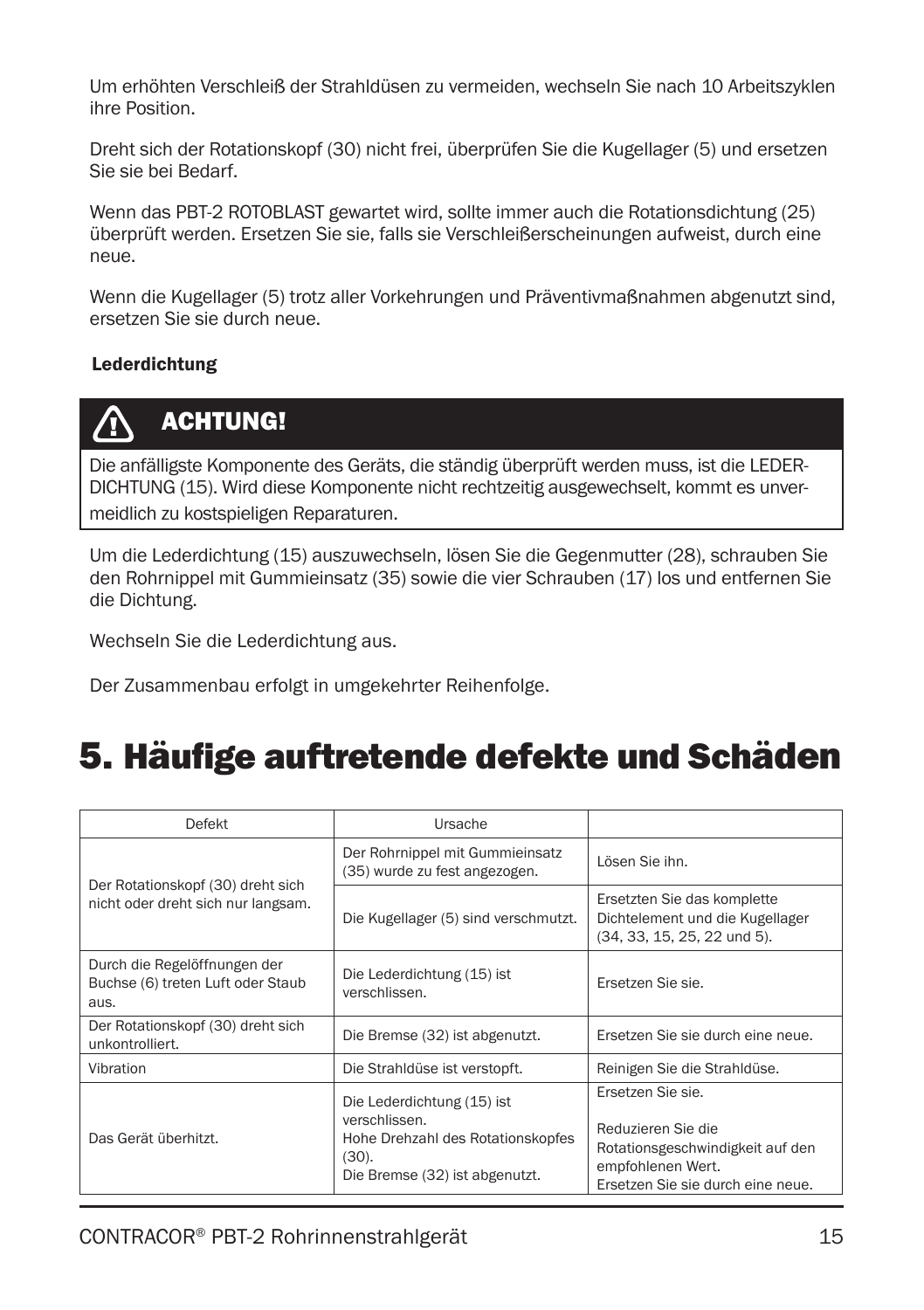Um erhöhten Verschleiß der Strahldüsen zu vermeiden, wechseln Sie nach 10 Arbeitszyklen ihre Position.

Dreht sich der Rotationskopf (30) nicht frei, überprüfen Sie die Kugellager (5) und ersetzen Sie sie bei Bedarf.

Wenn das PBT-2 ROTOBLAST gewartet wird, sollte immer auch die Rotationsdichtung (25) überprüft werden. Ersetzen Sie sie, falls sie Verschleißerscheinungen aufweist, durch eine neue.

Wenn die Kugellager (5) trotz aller Vorkehrungen und Präventivmaßnahmen abgenutzt sind, ersetzen Sie sie durch neue.

#### Lederdichtung



#### ACHTUNG!

Die anfälligste Komponente des Geräts, die ständig überprüft werden muss, ist die LEDER-DICHTUNG (15). Wird diese Komponente nicht rechtzeitig ausgewechselt, kommt es unvermeidlich zu kostspieligen Reparaturen.

Um die Lederdichtung (15) auszuwechseln, lösen Sie die Gegenmutter (28), schrauben Sie den Rohrnippel mit Gummieinsatz (35) sowie die vier Schrauben (17) los und entfernen Sie die Dichtung.

Wechseln Sie die Lederdichtung aus.

Der Zusammenbau erfolgt in umgekehrter Reihenfolge.

### 5. Häufige auftretende defekte und Schäden

| Defekt                                                                    | Ursache                                                                                                                        |                                                                                                                                       |
|---------------------------------------------------------------------------|--------------------------------------------------------------------------------------------------------------------------------|---------------------------------------------------------------------------------------------------------------------------------------|
|                                                                           | Der Rohrnippel mit Gummieinsatz<br>(35) wurde zu fest angezogen.                                                               | Lösen Sie ihn.                                                                                                                        |
| Der Rotationskopf (30) dreht sich<br>nicht oder dreht sich nur langsam.   | Die Kugellager (5) sind verschmutzt.                                                                                           | Ersetzten Sie das komplette<br>Dichtelement und die Kugellager<br>(34, 33, 15, 25, 22 und 5).                                         |
| Durch die Regelöffnungen der<br>Buchse (6) treten Luft oder Staub<br>aus. | Die Lederdichtung (15) ist<br>verschlissen.                                                                                    | Ersetzen Sie sie.                                                                                                                     |
| Der Rotationskopf (30) dreht sich<br>unkontrolliert.                      | Die Bremse (32) ist abgenutzt.                                                                                                 | Ersetzen Sie sie durch eine neue.                                                                                                     |
| Vibration                                                                 | Die Strahldüse ist verstopft.                                                                                                  | Reinigen Sie die Strahldüse.                                                                                                          |
| Das Gerät überhitzt.                                                      | Die Lederdichtung (15) ist<br>verschlissen.<br>Hohe Drehzahl des Rotationskopfes<br>$(30)$ .<br>Die Bremse (32) ist abgenutzt. | Ersetzen Sie sie.<br>Reduzieren Sie die<br>Rotationsgeschwindigkeit auf den<br>empfohlenen Wert.<br>Ersetzen Sie sie durch eine neue. |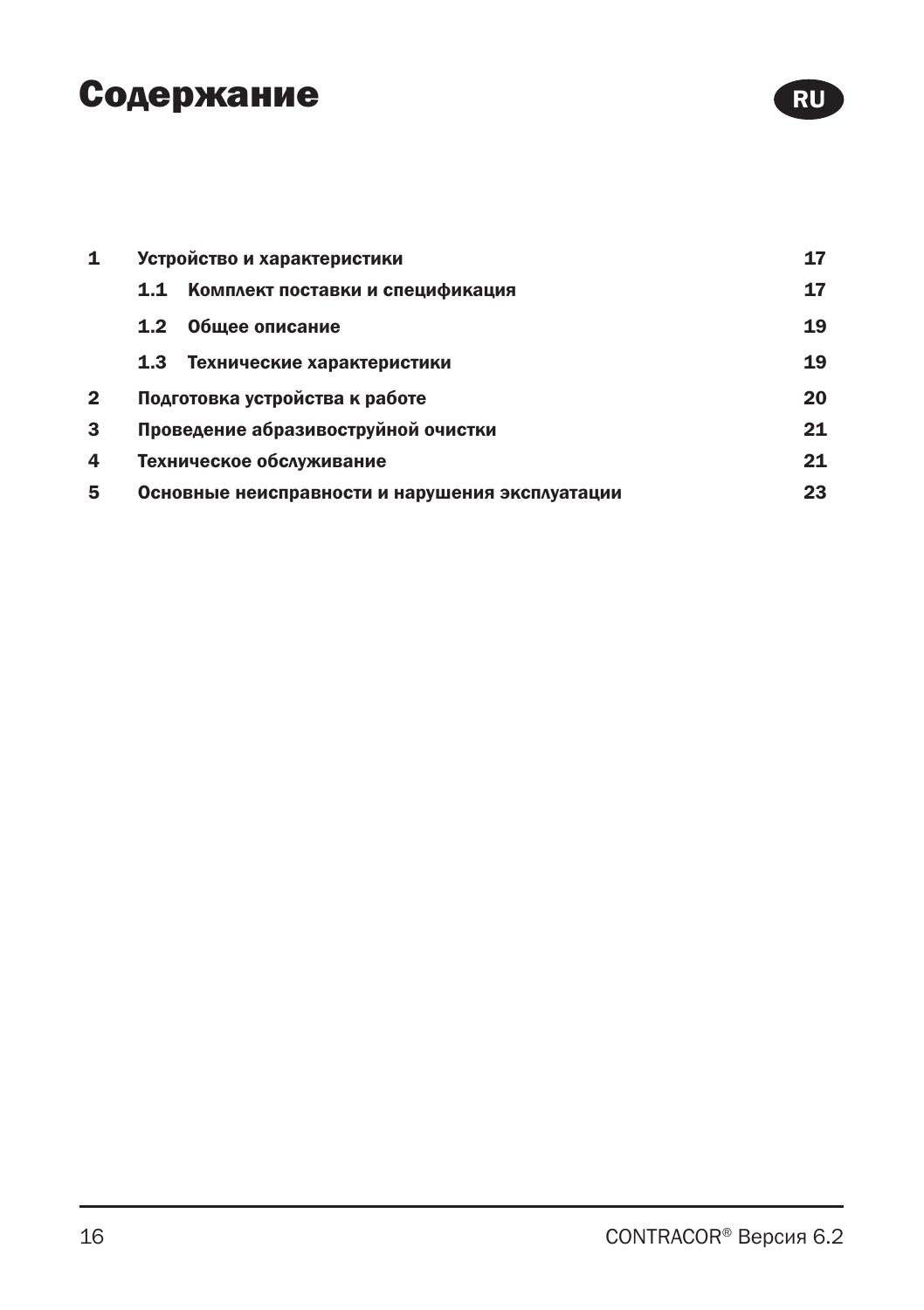### Содержание

| 1 | Устройство и характеристики                     | 17 |
|---|-------------------------------------------------|----|
|   | Комплект поставки и спецификация<br>1.1         | 17 |
|   | Общее описание<br>1.2                           | 19 |
|   | 1.3<br>Технические характеристики               | 19 |
| 2 | Подготовка устройства к работе                  | 20 |
| 3 | Проведение абразивоструйной очистки             | 21 |
| 4 | Техническое обслуживание                        | 21 |
| 5 | Основные неисправности и нарушения эксплуатации | 23 |

RU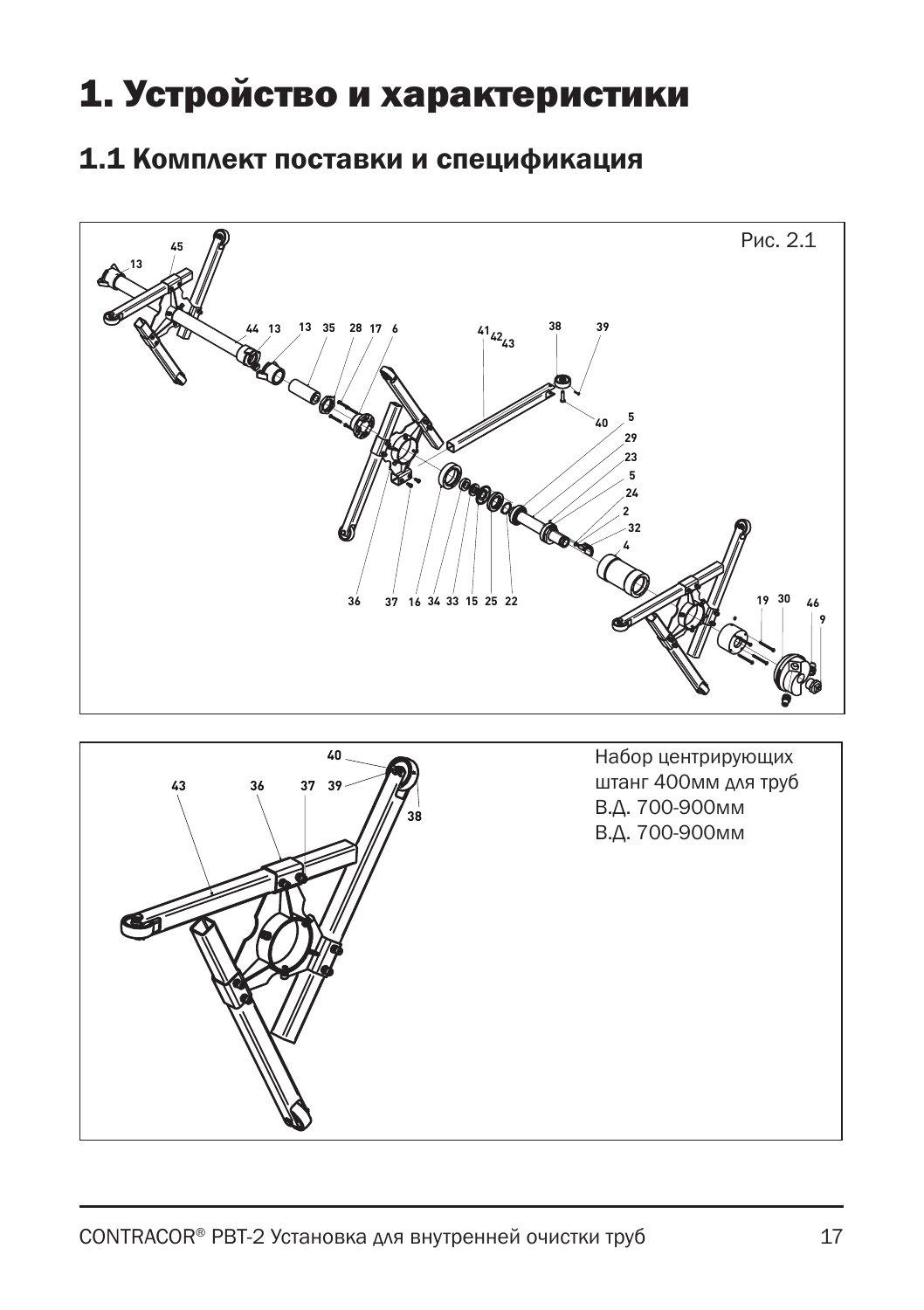### 1. Устройство и характеристики

#### 1.1 Комплект поставки и спецификация



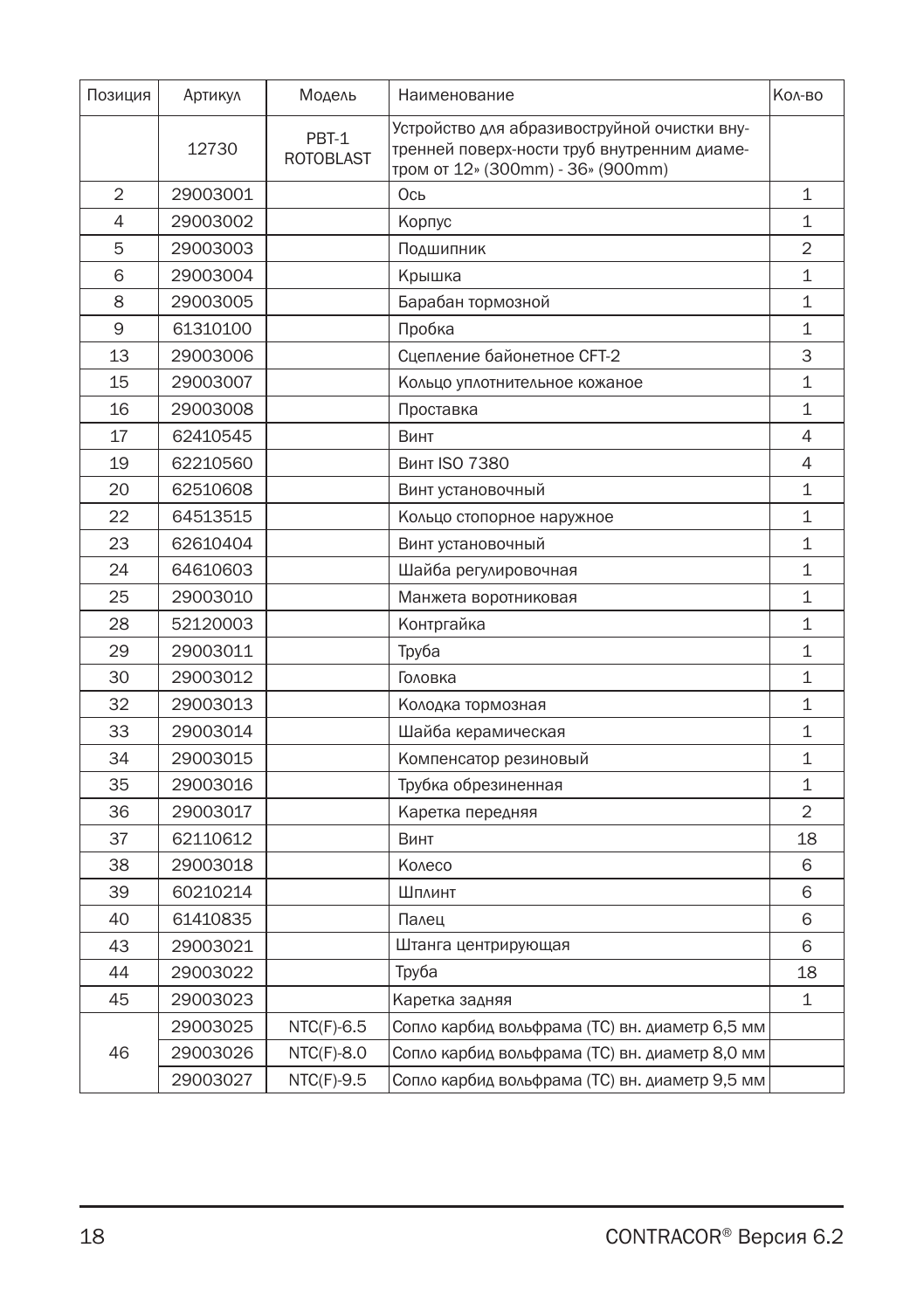| Позиция        | Артикул  | Модель                    | Наименование                                                                                                                     | Кол-во         |
|----------------|----------|---------------------------|----------------------------------------------------------------------------------------------------------------------------------|----------------|
|                | 12730    | PBT-1<br><b>ROTOBLAST</b> | Устройство для абразивоструйной очистки вну-<br>тренней поверх-ности труб внутренним диаме-<br>тром от 12» (300mm) - 36» (900mm) |                |
| $\overline{2}$ | 29003001 |                           | Ось                                                                                                                              | 1              |
| 4              | 29003002 |                           | Корпус                                                                                                                           | 1              |
| 5              | 29003003 |                           | Подшипник                                                                                                                        | $\overline{2}$ |
| 6              | 29003004 |                           | Крышка                                                                                                                           | 1              |
| 8              | 29003005 |                           | Барабан тормозной                                                                                                                | $\mathbf{1}$   |
| 9              | 61310100 |                           | Пробка                                                                                                                           | $\mathbf{1}$   |
| 13             | 29003006 |                           | Сцепление байонетное СГТ-2                                                                                                       | 3              |
| 15             | 29003007 |                           | Кольцо уплотнительное кожаное                                                                                                    | $\mathbf{1}$   |
| 16             | 29003008 |                           | Проставка                                                                                                                        | $\mathbf{1}$   |
| 17             | 62410545 |                           | Винт                                                                                                                             | 4              |
| 19             | 62210560 |                           | <b>Винт ISO 7380</b>                                                                                                             | 4              |
| 20             | 62510608 |                           | Винт установочный                                                                                                                | 1              |
| 22             | 64513515 |                           | Кольцо стопорное наружное                                                                                                        | 1              |
| 23             | 62610404 |                           | Винт установочный                                                                                                                | 1              |
| 24             | 64610603 |                           | Шайба регулировочная                                                                                                             | 1              |
| 25             | 29003010 |                           | Манжета воротниковая                                                                                                             | 1              |
| 28             | 52120003 |                           | Контргайка                                                                                                                       | 1              |
| 29             | 29003011 |                           | Труба                                                                                                                            | $\mathbf{1}$   |
| 30             | 29003012 |                           | Головка                                                                                                                          | $\mathbf{1}$   |
| 32             | 29003013 |                           | Колодка тормозная                                                                                                                | 1              |
| 33             | 29003014 |                           | Шайба керамическая                                                                                                               | 1              |
| 34             | 29003015 |                           | Компенсатор резиновый                                                                                                            | $\mathbf{1}$   |
| 35             | 29003016 |                           | Трубка обрезиненная                                                                                                              | $\mathbf{1}$   |
| 36             | 29003017 |                           | Каретка передняя                                                                                                                 | $\overline{2}$ |
| 37             | 62110612 |                           | Винт                                                                                                                             | 18             |
| 38             | 29003018 |                           | Колесо                                                                                                                           | 6              |
| 39             | 60210214 |                           | Шплинт                                                                                                                           | 6              |
| 40             | 61410835 |                           | Палец                                                                                                                            | 6              |
| 43             | 29003021 |                           | Штанга центрирующая                                                                                                              | 6              |
| 44             | 29003022 |                           | Труба                                                                                                                            | 18             |
| 45             | 29003023 |                           | Каретка задняя                                                                                                                   | 1              |
|                | 29003025 | $NTC(F)-6.5$              | Сопло карбид вольфрама (ТС) вн. диаметр 6,5 мм                                                                                   |                |
| 46             | 29003026 | $NTC(F)-8.0$              | Сопло карбид вольфрама (ТС) вн. диаметр 8,0 мм                                                                                   |                |
|                | 29003027 | $NTC(F)-9.5$              | Сопло карбид вольфрама (ТС) вн. диаметр 9,5 мм                                                                                   |                |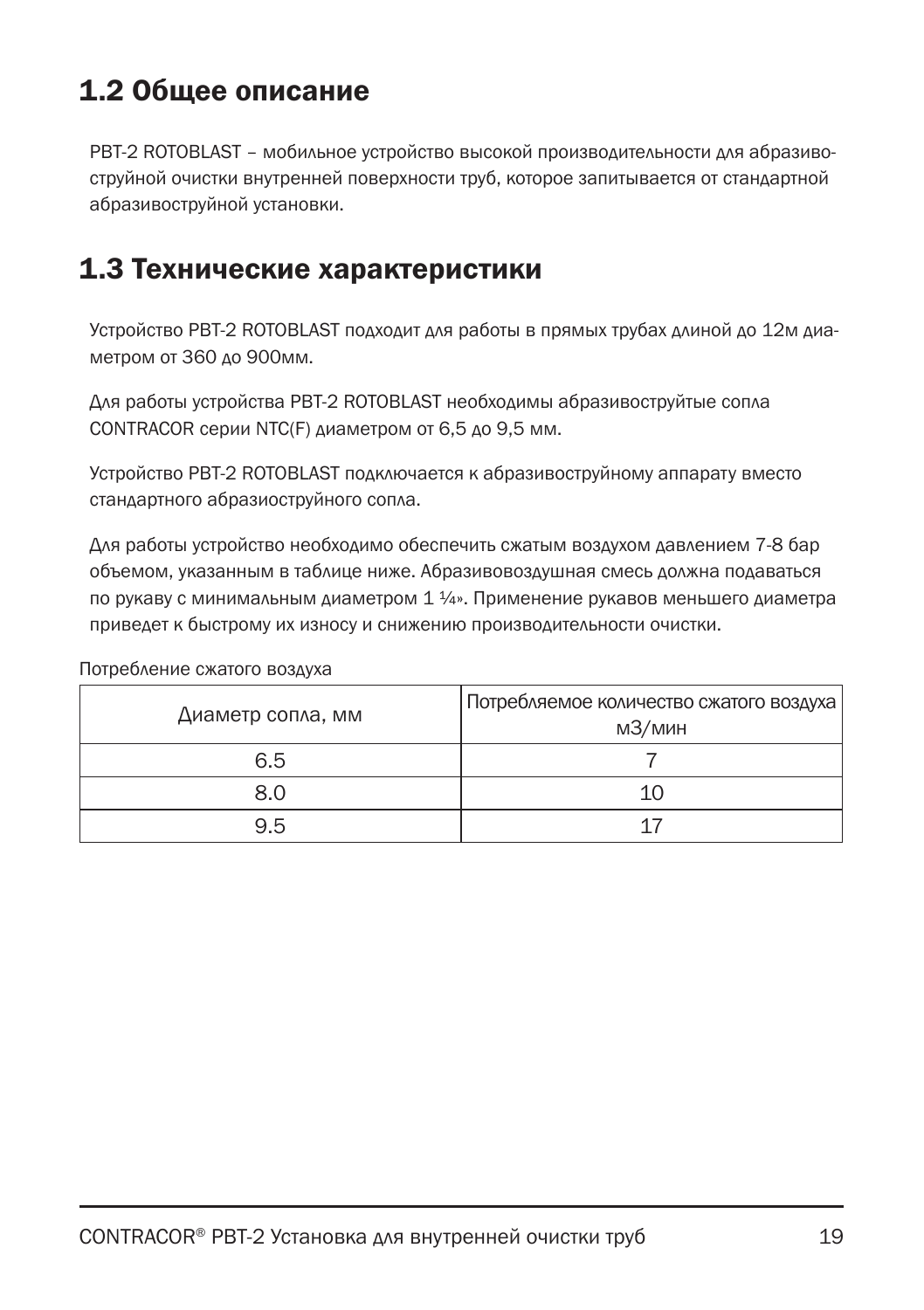### 1.2 Общее описание

PBT-2 ROTOBLAST – мобильное устройство высокой производительности для абразивоструйной очистки внутренней поверхности труб, которое запитывается от стандартной абразивоструйной установки.

#### 1.3 Технические характеристики

Устройство PBT-2 ROTOBLAST подходит для работы в прямых трубах длиной до 12м диаметром от 360 до 900мм.

Для работы устройства PBT-2 ROTOBLAST необходимы абразивоструйтые сопла CONTRACOR серии NTC(F) диаметром от 6,5 до 9,5 мм.

Устройство PBT-2 ROTOBLAST подключается к абразивоструйному аппарату вместо стандартного абразиоструйного сопла.

Для работы устройство необходимо обеспечить сжатым воздухом давлением 7-8 бар объемом, указанным в таблице ниже. Абразивовоздушная смесь должна подаваться по рукаву с минимальным диаметром 1 ¼». Применение рукавов меньшего диаметра приведет к быстрому их износу и снижению производительности очистки.

#### Потребление сжатого воздуха

| Диаметр сопла, мм | Потребляемое количество сжатого воздуха  <br>мЗ/мин |
|-------------------|-----------------------------------------------------|
| 6.5               |                                                     |
| 8.0               | 10                                                  |
| 9.5               |                                                     |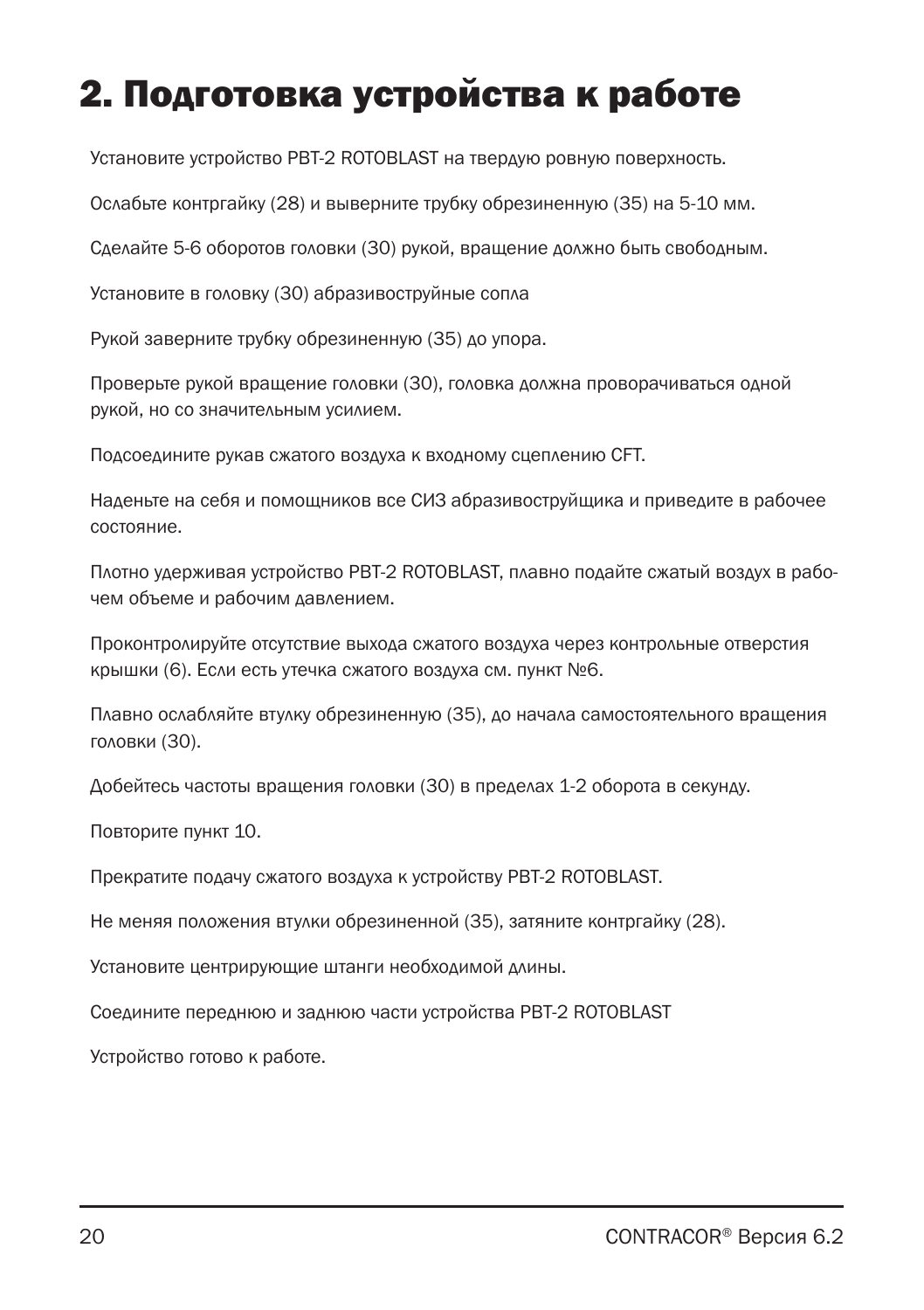# 2. Подготовка устройства к работе

Установите устройство PBT-2 ROTOBLAST на твердую ровную поверхность.

Ослабьте контргайку (28) и выверните трубку обрезиненную (35) на 5-10 мм.

Сделайте 5-6 оборотов головки (30) рукой, вращение должно быть свободным.

Установите в головку (30) абразивоструйные сопла

Рукой заверните трубку обрезиненную (35) до упора.

Проверьте рукой вращение головки (30), головка должна проворачиваться одной рукой, но со значительным усилием.

Подсоедините рукав сжатого воздуха к входному сцеплению CFT.

Наденьте на себя и помощников все СИЗ абразивоструйщика и приведите в рабочее состояние.

Плотно удерживая устройство PBT-2 ROTOBLAST, плавно подайте сжатый воздух в рабочем объеме и рабочим давлением.

Проконтролируйте отсутствие выхода сжатого воздуха через контрольные отверстия крышки (6). Если есть утечка сжатого воздуха см. пункт №6.

Плавно ослабляйте втулку обрезиненную (35), до начала самостоятельного вращения головки (30).

Добейтесь частоты вращения головки (30) в пределах 1-2 оборота в секунду.

Повторите пункт 10.

Прекратите подачу сжатого воздуха к устройству PBT-2 ROTOBLAST.

Не меняя положения втулки обрезиненной (35), затяните контргайку (28).

Установите центрирующие штанги необходимой длины.

Соедините переднюю и заднюю части устройства PBT-2 ROTOBLAST

Устройство готово к работе.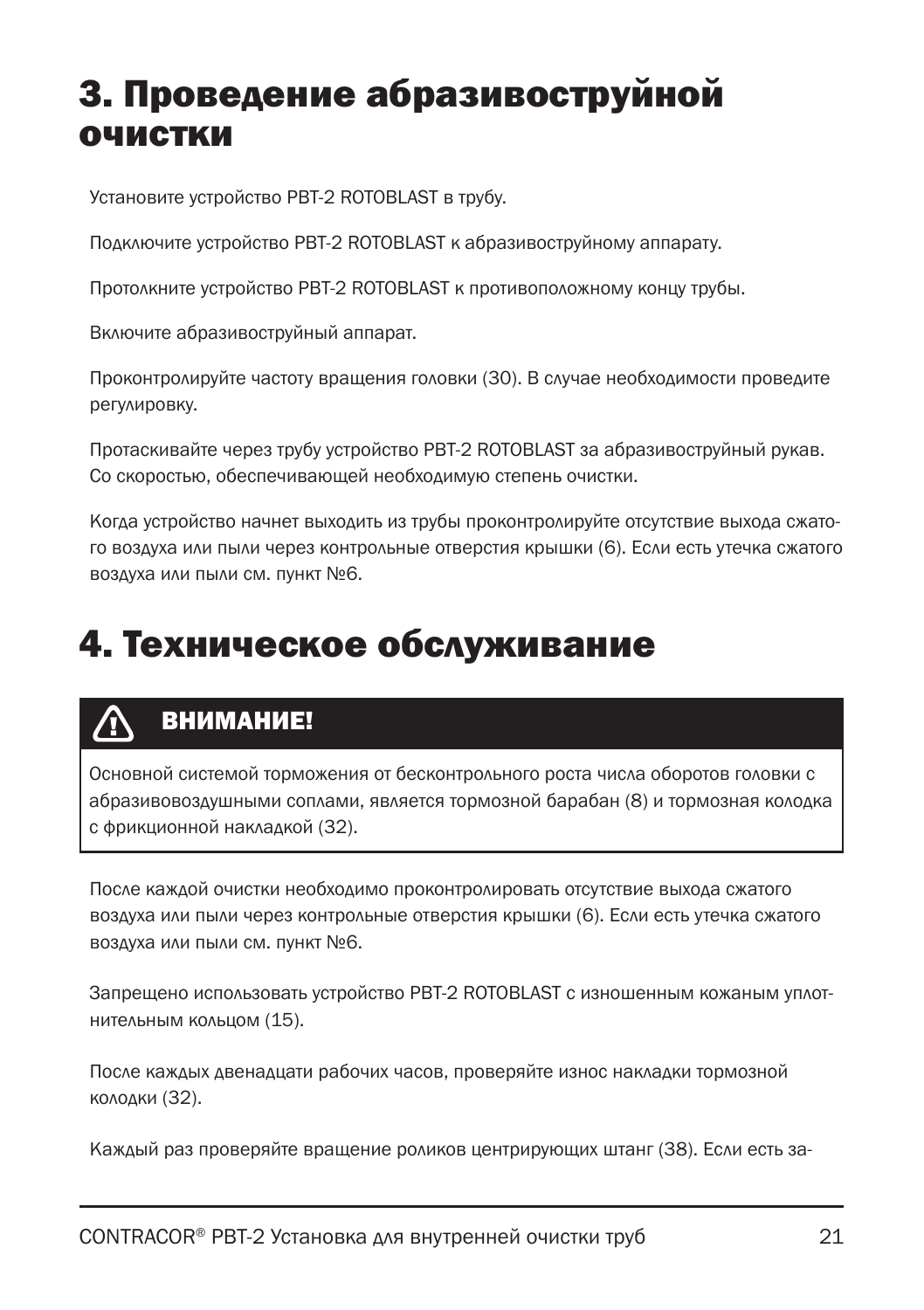### 3. Проведение абразивоструйной очистки

Установите устройство PBT-2 ROTOBLAST в трубу.

Подключите устройство PBT-2 ROTOBLAST к абразивоструйному аппарату.

Протолкните устройство PBT-2 ROTOBLAST к противоположному концу трубы.

Включите абразивоструйный аппарат.

Проконтролируйте частоту вращения головки (30). В случае необходимости проведите регулировку.

Протаскивайте через трубу устройство PBT-2 ROTOBLAST за абразивоструйный рукав. Со скоростью, обеспечивающей необходимую степень очистки.

Когда устройство начнет выходить из трубы проконтролируйте отсутствие выхода сжатого воздуха или пыли через контрольные отверстия крышки (6). Если есть утечка сжатого воздуха или пыли см. пункт №6.

### 4. Техническое обслуживание

#### ВНИМАНИЕ!

Основной системой торможения от бесконтрольного роста числа оборотов головки с абразивовоздушными соплами, является тормозной барабан (8) и тормозная колодка с фрикционной накладкой (32).

После каждой очистки необходимо проконтролировать отсутствие выхода сжатого воздуха или пыли через контрольные отверстия крышки (6). Если есть утечка сжатого воздуха или пыли см. пункт №6.

Запрещено использовать устройство PBT-2 ROTOBLAST с изношенным кожаным уплотнительным кольцом (15).

После каждых двенадцати рабочих часов, проверяйте износ накладки тормозной колодки (32).

Каждый раз проверяйте вращение роликов центрирующих штанг (38). Если есть за-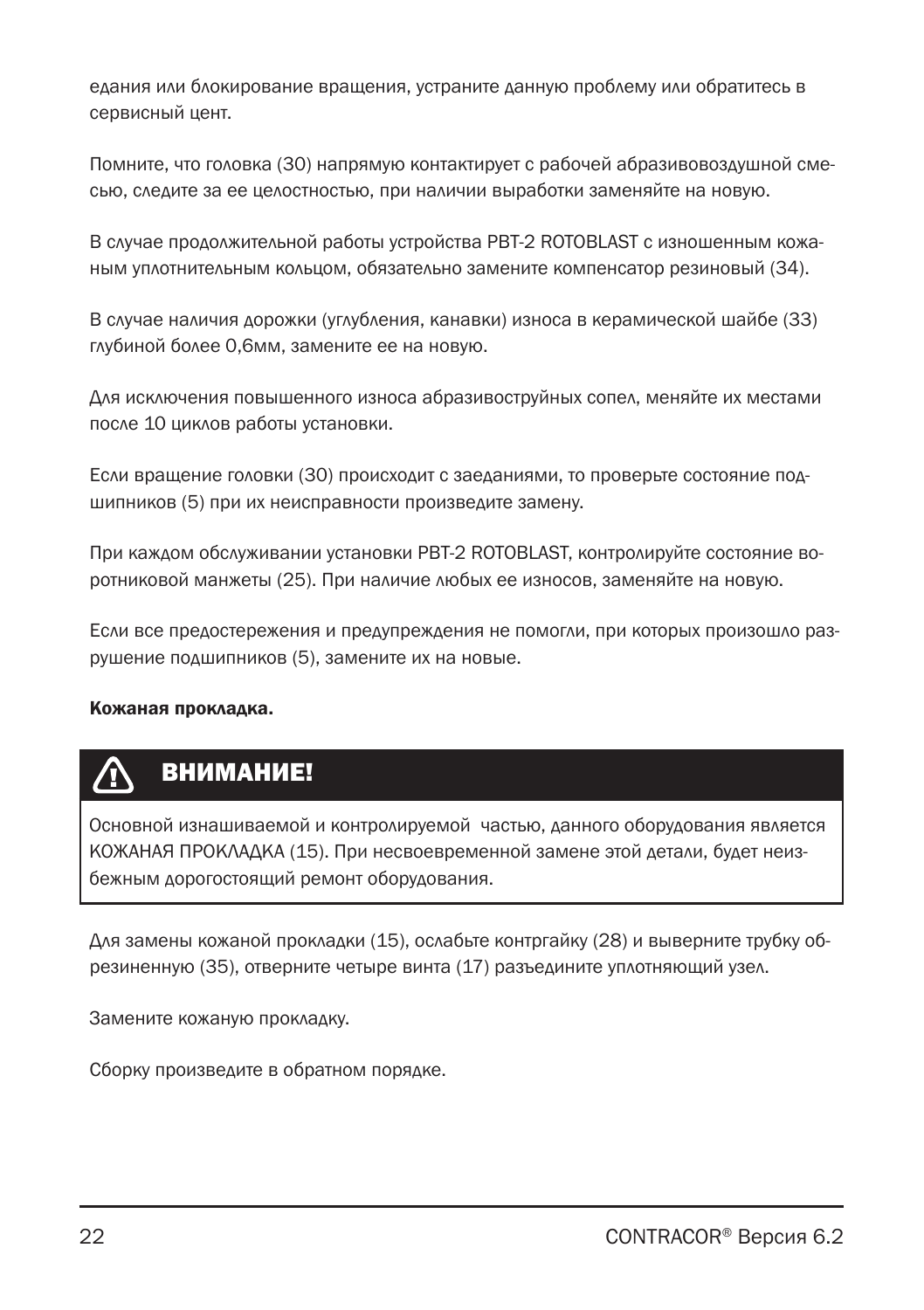едания или блокирование вращения, устраните данную проблему или обратитесь в сервисный цент.

Помните, что головка (30) напрямую контактирует с рабочей абразивовоздушной смесью, следите за ее целостностью, при наличии выработки заменяйте на новую.

В случае продолжительной работы устройства PBT-2 ROTOBLAST с изношенным кожаным уплотнительным кольцом, обязательно замените компенсатор резиновый (34).

В случае наличия дорожки (углубления, канавки) износа в керамической шайбе (33) глубиной более 0,6мм, замените ее на новую.

Для исключения повышенного износа абразивоструйных сопел, меняйте их местами после 10 циклов работы установки.

Если вращение головки (30) происходит с заеданиями, то проверьте состояние подшипников (5) при их неисправности произведите замену.

При каждом обслуживании установки PBT-2 ROTOBLAST, контролируйте состояние воротниковой манжеты (25). При наличие любых ее износов, заменяйте на новую.

Если все предостережения и предупреждения не помогли, при которых произошло разрушение подшипников (5), замените их на новые.

Кожаная прокладка**.**

### ВНИМАНИЕ!

Основной изнашиваемой и контролируемой частью, данного оборудования является КОЖАНАЯ ПРОКЛАДКА (15). При несвоевременной замене этой детали, будет неизбежным дорогостоящий ремонт оборудования.

Для замены кожаной прокладки (15), ослабьте контргайку (28) и выверните трубку обрезиненную (35), отверните четыре винта (17) разъедините уплотняющий узел.

Замените кожаную прокладку.

Сборку произведите в обратном порядке.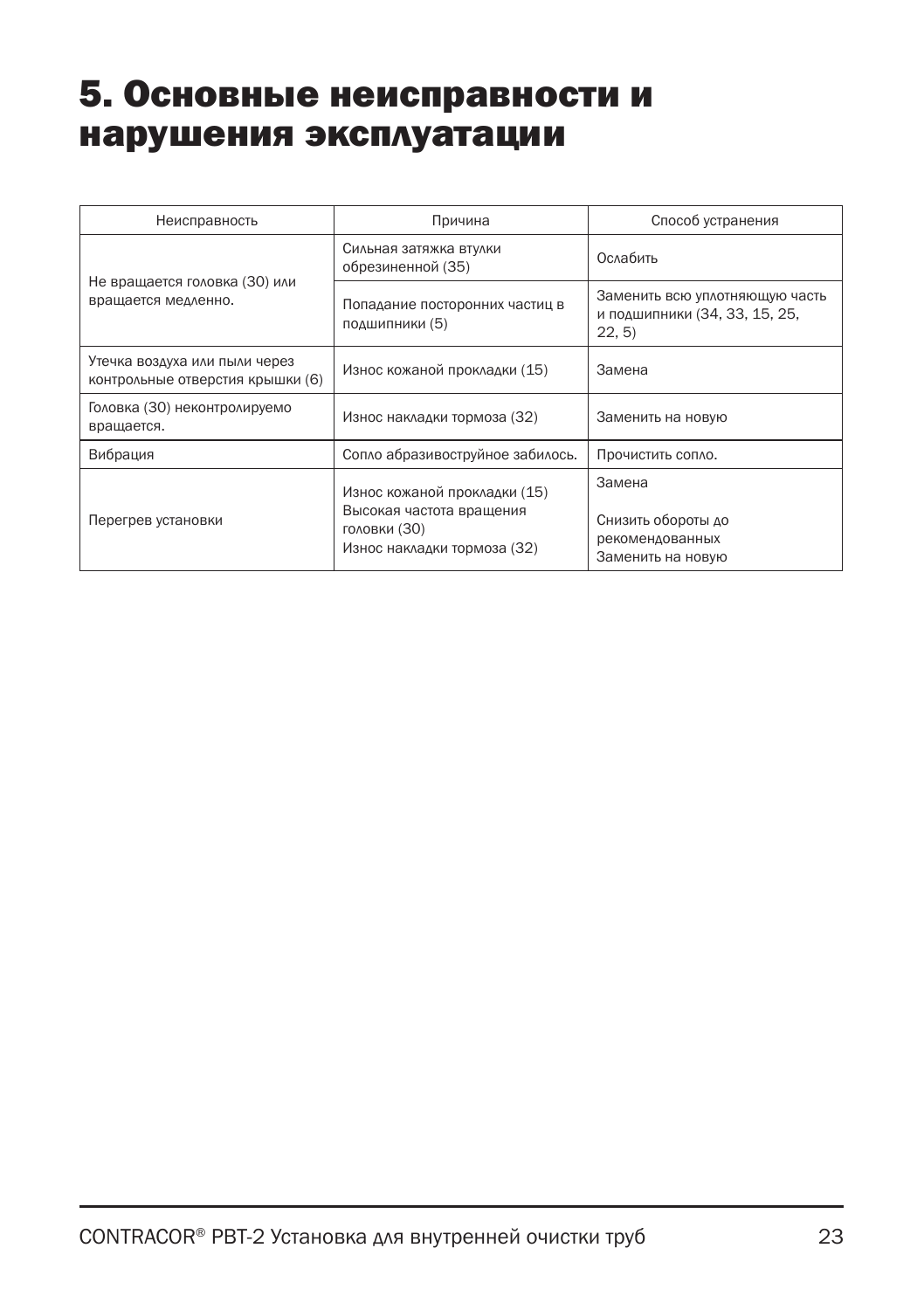### 5. Основные неисправности и нарушения эксплуатации

| Неисправность                                                     | Причина                                                                                                 | Способ устранения                                                         |
|-------------------------------------------------------------------|---------------------------------------------------------------------------------------------------------|---------------------------------------------------------------------------|
| Не вращается головка (30) или                                     | Сильная затяжка втулки<br>обрезиненной (35)                                                             | Ослабить                                                                  |
| вращается медленно.                                               | Попадание посторонних частиц в<br>подшипники (5)                                                        | Заменить всю уплотняющую часть<br>и подшипники (34, 33, 15, 25,<br>22, 5) |
| Утечка воздуха или пыли через<br>контрольные отверстия крышки (6) | Износ кожаной прокладки (15)                                                                            | Замена                                                                    |
| Головка (30) неконтролируемо<br>вращается.                        | Износ накладки тормоза (32)                                                                             | Заменить на новую                                                         |
| Вибрация                                                          | Сопло абразивоструйное забилось.                                                                        | Прочистить сопло.                                                         |
| Перегрев установки                                                | Износ кожаной прокладки (15)<br>Высокая частота вращения<br>головки (30)<br>Износ накладки тормоза (32) | Замена<br>Снизить обороты до<br>рекомендованных<br>Заменить на новую      |